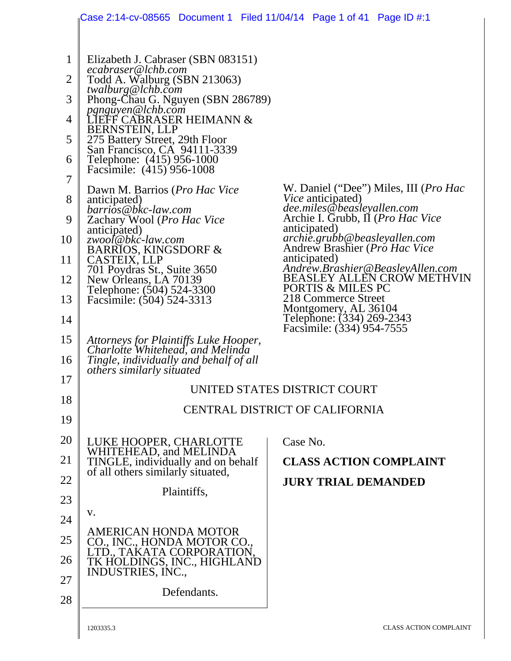|                                                                               | Case 2:14-cv-08565   Document 1   Filed 11/04/14   Page 1 of 41   Page ID #:1                                                                                                                                                                                                                                                                                                                                                                                                                                                                                                                    |                                                                                                                                                                                                                                                                                    |
|-------------------------------------------------------------------------------|--------------------------------------------------------------------------------------------------------------------------------------------------------------------------------------------------------------------------------------------------------------------------------------------------------------------------------------------------------------------------------------------------------------------------------------------------------------------------------------------------------------------------------------------------------------------------------------------------|------------------------------------------------------------------------------------------------------------------------------------------------------------------------------------------------------------------------------------------------------------------------------------|
| $\mathbf{1}$<br>2<br>3<br>$\overline{4}$<br>5<br>6<br>7<br>8<br>9<br>10<br>11 | Elizabeth J. Cabraser (SBN 083151)<br>ecabraser@lchb.com<br>Todd A. Walburg (SBN 213063)<br>twalburg@lchb.com<br>Phong-Chau G. Nguyen (SBN 286789)<br>pgnguyen@lchb.com<br>LIEFF CABRASER HEIMANN $\&$<br><b>BERNSTEIN, LLP</b><br>275 Battery Street, 29th Floor<br>San Francisco, CA 94111-3339<br>Telephone: (415) 956-1000<br>Facsimile: (415) 956-1008<br>Dawn M. Barrios ( <i>Pro Hac Vice</i><br>anticipated)<br>barrios@bkc-law.com<br>Zachary Wool (Pro Hac Vice<br>anticipated)<br>zwool@bkc-law.com<br><b>BARRIOS, KINGSDORF &amp;</b><br>CASTEIX, LLP<br>701 Poydras St., Suite 3650 | W. Daniel ("Dee") Miles, III (Pro Hac<br><i>Vice</i> anticipated)<br>dee.miles@beasleyallen.com<br>Archie I. Grubb, II (Pro Hac Vice<br>anticipated)<br>archie.grubb@beasleyallen.com<br>Andrew Brashier ( <i>Pro Hac Vice</i><br>anticipated)<br>Andrew.Brashier@BeasleyAllen.com |
| 12<br>13<br>14                                                                | New Orleans, LA 70139<br>Telephone: (504) 524-3300<br>Facsimile: (504) 524-3313                                                                                                                                                                                                                                                                                                                                                                                                                                                                                                                  | <b>BEASLEY ALLEN CROW METHVIN</b><br>PORTIS & MILES PC<br>218 Commerce Street<br>Montgomery, AL 36104<br>Telephone: (334) 269-2343                                                                                                                                                 |
| 15<br>16                                                                      | Attorneys for Plaintiffs Luke Hooper,<br>Charlotte Whitehead, and Melinda<br>Tingle, individually and behalf of all<br><i>others similarly situated</i>                                                                                                                                                                                                                                                                                                                                                                                                                                          | Facsimile: (334) 954-7555                                                                                                                                                                                                                                                          |
| 17<br>18                                                                      |                                                                                                                                                                                                                                                                                                                                                                                                                                                                                                                                                                                                  | UNITED STATES DISTRICT COURT                                                                                                                                                                                                                                                       |
| 19                                                                            |                                                                                                                                                                                                                                                                                                                                                                                                                                                                                                                                                                                                  | CENTRAL DISTRICT OF CALIFORNIA                                                                                                                                                                                                                                                     |
| 20                                                                            |                                                                                                                                                                                                                                                                                                                                                                                                                                                                                                                                                                                                  | Case No.                                                                                                                                                                                                                                                                           |
| 21                                                                            | LUKE HOOPER, CHARLOTTE<br>WHITEHEAD, and MELINDA<br>TINGLE, individually and on behalf<br>of all others similarly situated,                                                                                                                                                                                                                                                                                                                                                                                                                                                                      | <b>CLASS ACTION COMPLAINT</b>                                                                                                                                                                                                                                                      |
| 22                                                                            | Plaintiffs,                                                                                                                                                                                                                                                                                                                                                                                                                                                                                                                                                                                      | <b>JURY TRIAL DEMANDED</b>                                                                                                                                                                                                                                                         |
| 23                                                                            | V.                                                                                                                                                                                                                                                                                                                                                                                                                                                                                                                                                                                               |                                                                                                                                                                                                                                                                                    |
| 24<br>25<br>26                                                                | AMERICAN HONDA MOTOR<br>CO., INC., HONDA MOTOR CO.,<br>LTD., TAKATA CORPORATION,<br>TK HOLDINGS, INC., HIGHLAND<br>INDUSTRIES, INC.,                                                                                                                                                                                                                                                                                                                                                                                                                                                             |                                                                                                                                                                                                                                                                                    |
| 27<br>28                                                                      | Defendants.                                                                                                                                                                                                                                                                                                                                                                                                                                                                                                                                                                                      |                                                                                                                                                                                                                                                                                    |
|                                                                               | 1203335.3                                                                                                                                                                                                                                                                                                                                                                                                                                                                                                                                                                                        | <b>CLASS ACTION COMPLAINT</b>                                                                                                                                                                                                                                                      |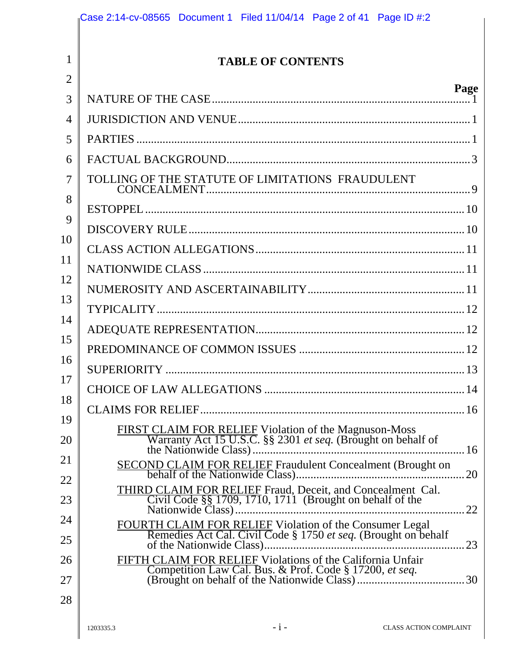| <b>TABLE OF CONTENTS</b>                                                                                                  |
|---------------------------------------------------------------------------------------------------------------------------|
| Page                                                                                                                      |
|                                                                                                                           |
|                                                                                                                           |
|                                                                                                                           |
|                                                                                                                           |
| TOLLING OF THE STATUTE OF LIMITATIONS FRAUDULENT                                                                          |
|                                                                                                                           |
|                                                                                                                           |
|                                                                                                                           |
|                                                                                                                           |
|                                                                                                                           |
|                                                                                                                           |
|                                                                                                                           |
|                                                                                                                           |
|                                                                                                                           |
|                                                                                                                           |
|                                                                                                                           |
|                                                                                                                           |
|                                                                                                                           |
| 20<br>THIRD CLAIM FOR RELIEF Fraud, Deceit, and Concealment Cal.                                                          |
| Civil Code $\S$ $\S$ 1709, 1710, 1711 (Brought on behalf of the                                                           |
| FOURTH CLAIM FOR RELIEF Violation of the Consumer Legal<br>Remedies Act Cal. Civil Code § 1750 et seq. (Brought on behalf |
| 23                                                                                                                        |
| FIFTH CLAIM FOR RELIEF Violations of the California Unfair                                                                |
|                                                                                                                           |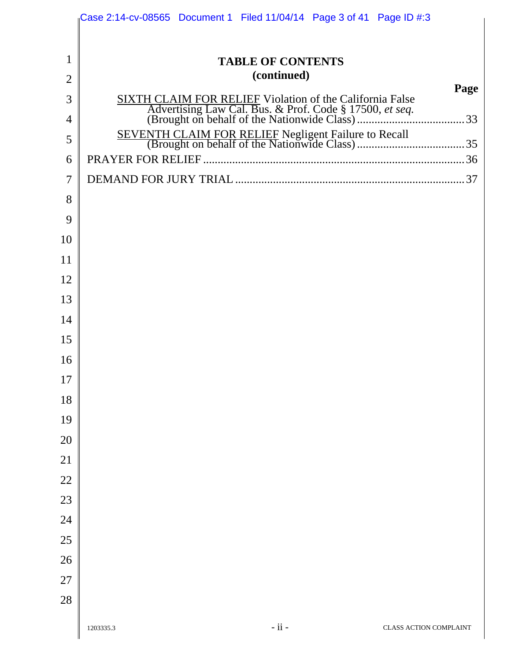|                | Case 2:14-cv-08565 Document 1 Filed $11/04/14$ Page 3 of 41 Page ID #:3 |
|----------------|-------------------------------------------------------------------------|
|                |                                                                         |
| $\mathbf{1}$   | <b>TABLE OF CONTENTS</b>                                                |
| $\overline{2}$ | (continued)                                                             |
| 3              | Page                                                                    |
| 4              |                                                                         |
| 5              |                                                                         |
| 6              |                                                                         |
| 7              |                                                                         |
| 8              |                                                                         |
| 9              |                                                                         |
| 10             |                                                                         |
| 11             |                                                                         |
| 12             |                                                                         |
| 13             |                                                                         |
| 14             |                                                                         |
| 15             |                                                                         |
| 16             |                                                                         |
| 17             |                                                                         |
| 18             |                                                                         |
| 19             |                                                                         |
| 20             |                                                                         |
| 21             |                                                                         |
| 22             |                                                                         |
| 23             |                                                                         |
| 24             |                                                                         |
| 25             |                                                                         |
| 26             |                                                                         |
| 27             |                                                                         |
| 28             |                                                                         |
|                | $-ii -$<br>CLASS ACTION COMPLAINT<br>1203335.3                          |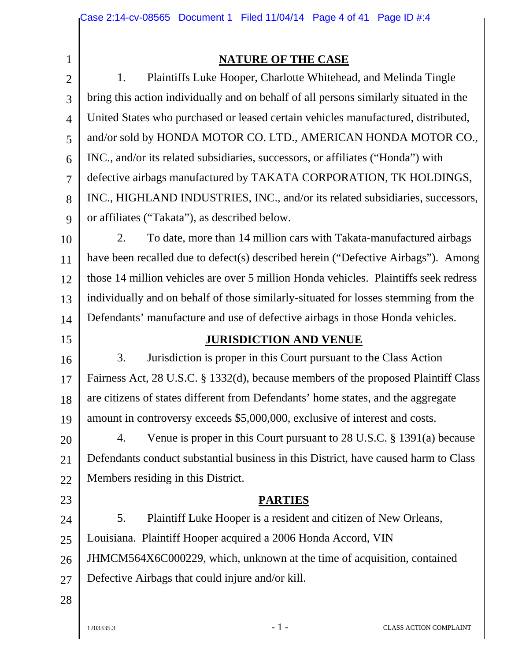1 2

### **NATURE OF THE CASE**

3 4 5 6 7 8 9 1. Plaintiffs Luke Hooper, Charlotte Whitehead, and Melinda Tingle bring this action individually and on behalf of all persons similarly situated in the United States who purchased or leased certain vehicles manufactured, distributed, and/or sold by HONDA MOTOR CO. LTD., AMERICAN HONDA MOTOR CO., INC., and/or its related subsidiaries, successors, or affiliates ("Honda") with defective airbags manufactured by TAKATA CORPORATION, TK HOLDINGS, INC., HIGHLAND INDUSTRIES, INC., and/or its related subsidiaries, successors, or affiliates ("Takata"), as described below.

10 11 12 13 14 2. To date, more than 14 million cars with Takata-manufactured airbags have been recalled due to defect(s) described herein ("Defective Airbags"). Among those 14 million vehicles are over 5 million Honda vehicles. Plaintiffs seek redress individually and on behalf of those similarly-situated for losses stemming from the Defendants' manufacture and use of defective airbags in those Honda vehicles.

15

#### **JURISDICTION AND VENUE**

16 17 18 19 3. Jurisdiction is proper in this Court pursuant to the Class Action Fairness Act, 28 U.S.C. § 1332(d), because members of the proposed Plaintiff Class are citizens of states different from Defendants' home states, and the aggregate amount in controversy exceeds \$5,000,000, exclusive of interest and costs.

20 21 22 4. Venue is proper in this Court pursuant to 28 U.S.C. § 1391(a) because Defendants conduct substantial business in this District, have caused harm to Class Members residing in this District.

- 23
- 24

5. Plaintiff Luke Hooper is a resident and citizen of New Orleans,

**PARTIES** 

25 Louisiana. Plaintiff Hooper acquired a 2006 Honda Accord, VIN

26 JHMCM564X6C000229, which, unknown at the time of acquisition, contained

- 27 Defective Airbags that could injure and/or kill.
- 28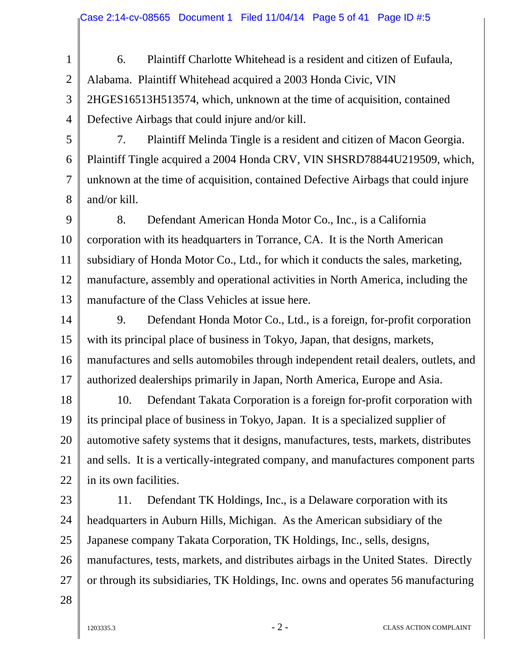- 1 2 3 4 6. Plaintiff Charlotte Whitehead is a resident and citizen of Eufaula, Alabama. Plaintiff Whitehead acquired a 2003 Honda Civic, VIN 2HGES16513H513574, which, unknown at the time of acquisition, contained Defective Airbags that could injure and/or kill.
- 5 6 7 8 7. Plaintiff Melinda Tingle is a resident and citizen of Macon Georgia. Plaintiff Tingle acquired a 2004 Honda CRV, VIN SHSRD78844U219509, which, unknown at the time of acquisition, contained Defective Airbags that could injure and/or kill.
- 9 10 11 12 13 8. Defendant American Honda Motor Co., Inc., is a California corporation with its headquarters in Torrance, CA. It is the North American subsidiary of Honda Motor Co., Ltd., for which it conducts the sales, marketing, manufacture, assembly and operational activities in North America, including the manufacture of the Class Vehicles at issue here.
- 14 15 16 17 9. Defendant Honda Motor Co., Ltd., is a foreign, for-profit corporation with its principal place of business in Tokyo, Japan, that designs, markets, manufactures and sells automobiles through independent retail dealers, outlets, and authorized dealerships primarily in Japan, North America, Europe and Asia.
- 18 19 20 21 22 10. Defendant Takata Corporation is a foreign for-profit corporation with its principal place of business in Tokyo, Japan. It is a specialized supplier of automotive safety systems that it designs, manufactures, tests, markets, distributes and sells. It is a vertically-integrated company, and manufactures component parts in its own facilities.
- 23 24 25 26 27 11. Defendant TK Holdings, Inc., is a Delaware corporation with its headquarters in Auburn Hills, Michigan. As the American subsidiary of the Japanese company Takata Corporation, TK Holdings, Inc., sells, designs, manufactures, tests, markets, and distributes airbags in the United States. Directly or through its subsidiaries, TK Holdings, Inc. owns and operates 56 manufacturing
	-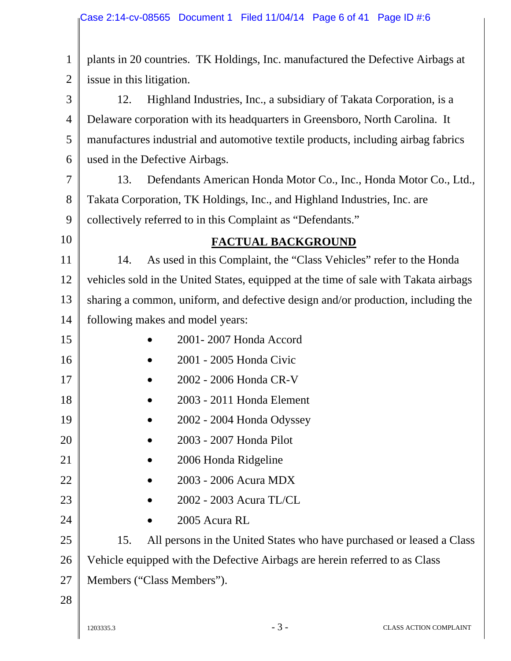1 2 3 4 5 6 7 8 9 10 11 12 13 14 15 16 17 18 19 20 21 22 23 24 25 26 27 28  $-3$  -  $\phantom{-}$  CLASS ACTION COMPLAINT plants in 20 countries. TK Holdings, Inc. manufactured the Defective Airbags at issue in this litigation. 12. Highland Industries, Inc., a subsidiary of Takata Corporation, is a Delaware corporation with its headquarters in Greensboro, North Carolina. It manufactures industrial and automotive textile products, including airbag fabrics used in the Defective Airbags. 13. Defendants American Honda Motor Co., Inc., Honda Motor Co., Ltd., Takata Corporation, TK Holdings, Inc., and Highland Industries, Inc. are collectively referred to in this Complaint as "Defendants." **FACTUAL BACKGROUND**  14. As used in this Complaint, the "Class Vehicles" refer to the Honda vehicles sold in the United States, equipped at the time of sale with Takata airbags sharing a common, uniform, and defective design and/or production, including the following makes and model years: • 2001- 2007 Honda Accord • 2001 - 2005 Honda Civic • 2002 - 2006 Honda CR-V • 2003 - 2011 Honda Element • 2002 - 2004 Honda Odyssey • 2003 - 2007 Honda Pilot • 2006 Honda Ridgeline • 2003 - 2006 Acura MDX • 2002 - 2003 Acura TL/CL • 2005 Acura RL 15. All persons in the United States who have purchased or leased a Class Vehicle equipped with the Defective Airbags are herein referred to as Class Members ("Class Members").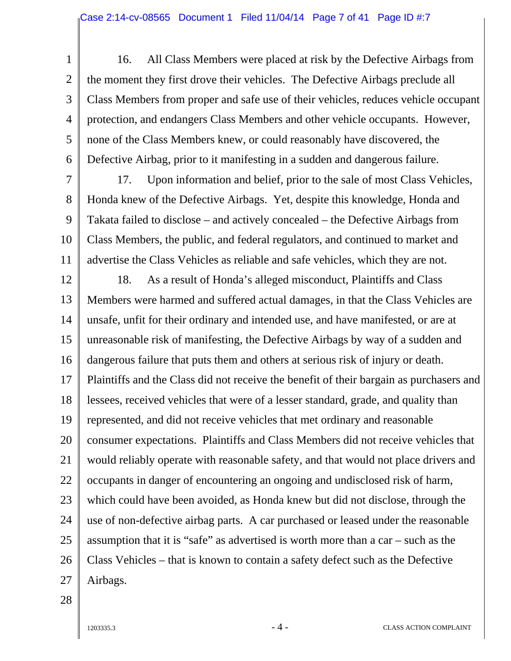1 2 3 4 5 6 16. All Class Members were placed at risk by the Defective Airbags from the moment they first drove their vehicles. The Defective Airbags preclude all Class Members from proper and safe use of their vehicles, reduces vehicle occupant protection, and endangers Class Members and other vehicle occupants. However, none of the Class Members knew, or could reasonably have discovered, the Defective Airbag, prior to it manifesting in a sudden and dangerous failure.

7 8 9 10 11 17. Upon information and belief, prior to the sale of most Class Vehicles, Honda knew of the Defective Airbags. Yet, despite this knowledge, Honda and Takata failed to disclose – and actively concealed – the Defective Airbags from Class Members, the public, and federal regulators, and continued to market and advertise the Class Vehicles as reliable and safe vehicles, which they are not.

12 13 14 15 16 17 18 19 20 21 22 23 24 25 26 27 18. As a result of Honda's alleged misconduct, Plaintiffs and Class Members were harmed and suffered actual damages, in that the Class Vehicles are unsafe, unfit for their ordinary and intended use, and have manifested, or are at unreasonable risk of manifesting, the Defective Airbags by way of a sudden and dangerous failure that puts them and others at serious risk of injury or death. Plaintiffs and the Class did not receive the benefit of their bargain as purchasers and lessees, received vehicles that were of a lesser standard, grade, and quality than represented, and did not receive vehicles that met ordinary and reasonable consumer expectations. Plaintiffs and Class Members did not receive vehicles that would reliably operate with reasonable safety, and that would not place drivers and occupants in danger of encountering an ongoing and undisclosed risk of harm, which could have been avoided, as Honda knew but did not disclose, through the use of non-defective airbag parts. A car purchased or leased under the reasonable assumption that it is "safe" as advertised is worth more than a car – such as the Class Vehicles – that is known to contain a safety defect such as the Defective Airbags.

28

1203335.3 - 4 - CLASS ACTION COMPLAINT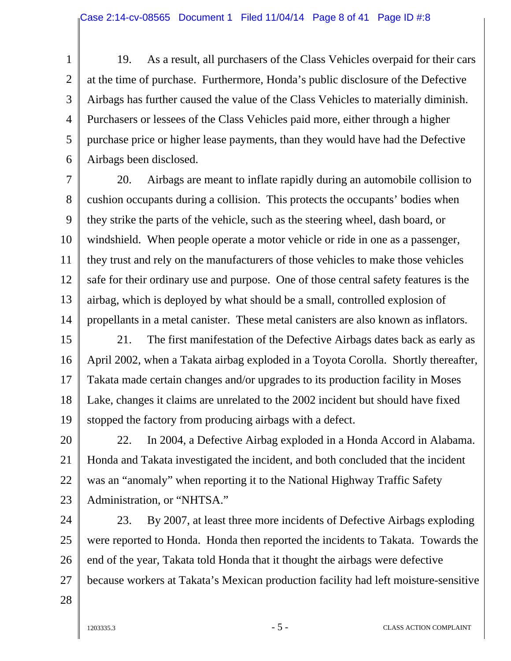1 2 3 4 5 6 19. As a result, all purchasers of the Class Vehicles overpaid for their cars at the time of purchase. Furthermore, Honda's public disclosure of the Defective Airbags has further caused the value of the Class Vehicles to materially diminish. Purchasers or lessees of the Class Vehicles paid more, either through a higher purchase price or higher lease payments, than they would have had the Defective Airbags been disclosed.

7 8 9 10 11 12 13 14 20. Airbags are meant to inflate rapidly during an automobile collision to cushion occupants during a collision. This protects the occupants' bodies when they strike the parts of the vehicle, such as the steering wheel, dash board, or windshield. When people operate a motor vehicle or ride in one as a passenger, they trust and rely on the manufacturers of those vehicles to make those vehicles safe for their ordinary use and purpose. One of those central safety features is the airbag, which is deployed by what should be a small, controlled explosion of propellants in a metal canister. These metal canisters are also known as inflators.

15 16 17 18 19 21. The first manifestation of the Defective Airbags dates back as early as April 2002, when a Takata airbag exploded in a Toyota Corolla. Shortly thereafter, Takata made certain changes and/or upgrades to its production facility in Moses Lake, changes it claims are unrelated to the 2002 incident but should have fixed stopped the factory from producing airbags with a defect.

20 21 22 23 22. In 2004, a Defective Airbag exploded in a Honda Accord in Alabama. Honda and Takata investigated the incident, and both concluded that the incident was an "anomaly" when reporting it to the National Highway Traffic Safety Administration, or "NHTSA."

24 25 26 27 23. By 2007, at least three more incidents of Defective Airbags exploding were reported to Honda. Honda then reported the incidents to Takata. Towards the end of the year, Takata told Honda that it thought the airbags were defective because workers at Takata's Mexican production facility had left moisture-sensitive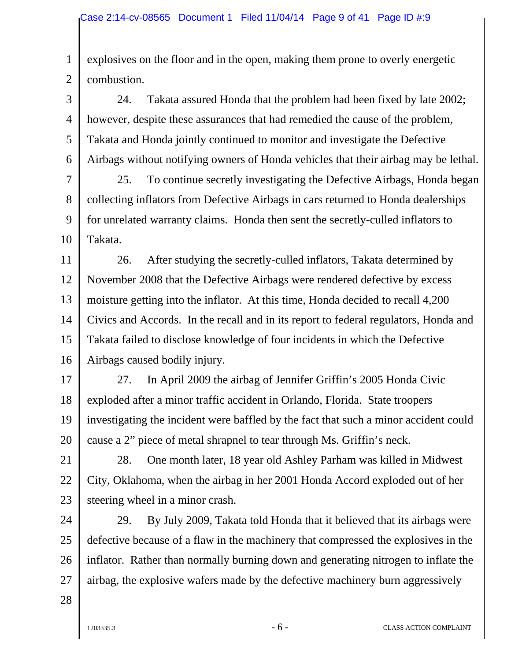1 2 explosives on the floor and in the open, making them prone to overly energetic combustion.

3 4 5 6 24. Takata assured Honda that the problem had been fixed by late 2002; however, despite these assurances that had remedied the cause of the problem, Takata and Honda jointly continued to monitor and investigate the Defective Airbags without notifying owners of Honda vehicles that their airbag may be lethal.

7 8 9 10 25. To continue secretly investigating the Defective Airbags, Honda began collecting inflators from Defective Airbags in cars returned to Honda dealerships for unrelated warranty claims. Honda then sent the secretly-culled inflators to Takata.

11 12 13 14 15 16 26. After studying the secretly-culled inflators, Takata determined by November 2008 that the Defective Airbags were rendered defective by excess moisture getting into the inflator. At this time, Honda decided to recall 4,200 Civics and Accords. In the recall and in its report to federal regulators, Honda and Takata failed to disclose knowledge of four incidents in which the Defective Airbags caused bodily injury.

17 18 19 20 27. In April 2009 the airbag of Jennifer Griffin's 2005 Honda Civic exploded after a minor traffic accident in Orlando, Florida. State troopers investigating the incident were baffled by the fact that such a minor accident could cause a 2" piece of metal shrapnel to tear through Ms. Griffin's neck.

21 22 23 28. One month later, 18 year old Ashley Parham was killed in Midwest City, Oklahoma, when the airbag in her 2001 Honda Accord exploded out of her steering wheel in a minor crash.

24 25 26 27 29. By July 2009, Takata told Honda that it believed that its airbags were defective because of a flaw in the machinery that compressed the explosives in the inflator. Rather than normally burning down and generating nitrogen to inflate the airbag, the explosive wafers made by the defective machinery burn aggressively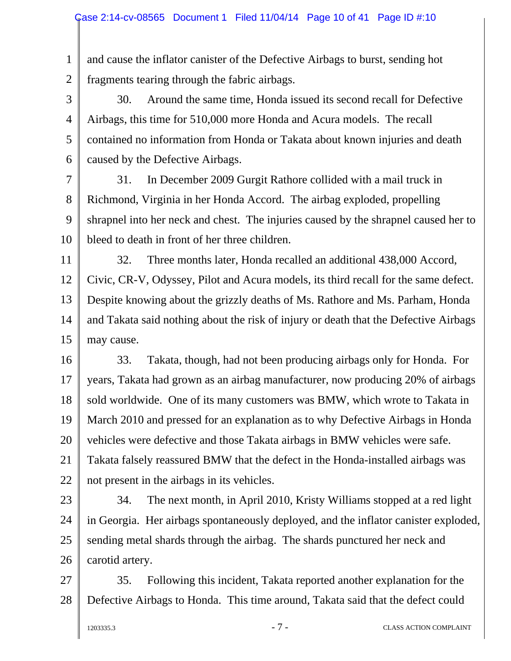1 2 and cause the inflator canister of the Defective Airbags to burst, sending hot fragments tearing through the fabric airbags.

3 4 5 6 30. Around the same time, Honda issued its second recall for Defective Airbags, this time for 510,000 more Honda and Acura models. The recall contained no information from Honda or Takata about known injuries and death caused by the Defective Airbags.

7 8 9 10 31. In December 2009 Gurgit Rathore collided with a mail truck in Richmond, Virginia in her Honda Accord. The airbag exploded, propelling shrapnel into her neck and chest. The injuries caused by the shrapnel caused her to bleed to death in front of her three children.

11 12 13 14 15 32. Three months later, Honda recalled an additional 438,000 Accord, Civic, CR-V, Odyssey, Pilot and Acura models, its third recall for the same defect. Despite knowing about the grizzly deaths of Ms. Rathore and Ms. Parham, Honda and Takata said nothing about the risk of injury or death that the Defective Airbags may cause.

16 17 18 19 20 21 22 33. Takata, though, had not been producing airbags only for Honda. For years, Takata had grown as an airbag manufacturer, now producing 20% of airbags sold worldwide. One of its many customers was BMW, which wrote to Takata in March 2010 and pressed for an explanation as to why Defective Airbags in Honda vehicles were defective and those Takata airbags in BMW vehicles were safe. Takata falsely reassured BMW that the defect in the Honda-installed airbags was not present in the airbags in its vehicles.

23

24 25 26 34. The next month, in April 2010, Kristy Williams stopped at a red light in Georgia. Her airbags spontaneously deployed, and the inflator canister exploded, sending metal shards through the airbag. The shards punctured her neck and carotid artery.

27 28 35. Following this incident, Takata reported another explanation for the Defective Airbags to Honda. This time around, Takata said that the defect could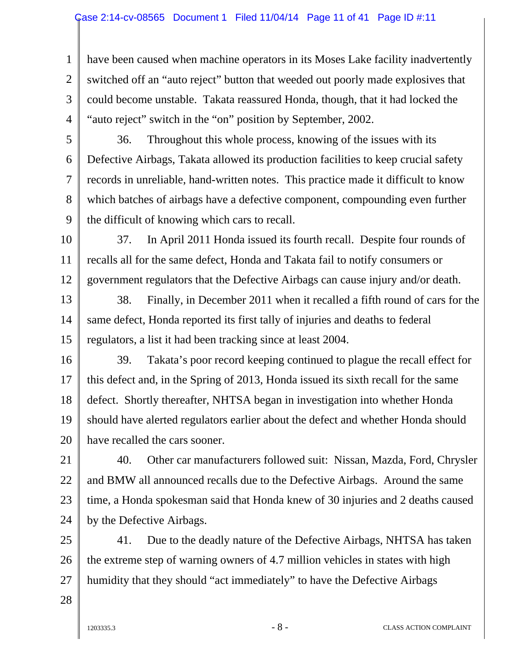1 2 3 4 have been caused when machine operators in its Moses Lake facility inadvertently switched off an "auto reject" button that weeded out poorly made explosives that could become unstable. Takata reassured Honda, though, that it had locked the "auto reject" switch in the "on" position by September, 2002.

5

6

7

8

9

36. Throughout this whole process, knowing of the issues with its Defective Airbags, Takata allowed its production facilities to keep crucial safety records in unreliable, hand-written notes. This practice made it difficult to know which batches of airbags have a defective component, compounding even further the difficult of knowing which cars to recall.

10 11 12 37. In April 2011 Honda issued its fourth recall. Despite four rounds of recalls all for the same defect, Honda and Takata fail to notify consumers or government regulators that the Defective Airbags can cause injury and/or death.

13 14 15 38. Finally, in December 2011 when it recalled a fifth round of cars for the same defect, Honda reported its first tally of injuries and deaths to federal regulators, a list it had been tracking since at least 2004.

16 17 18 19 20 39. Takata's poor record keeping continued to plague the recall effect for this defect and, in the Spring of 2013, Honda issued its sixth recall for the same defect. Shortly thereafter, NHTSA began in investigation into whether Honda should have alerted regulators earlier about the defect and whether Honda should have recalled the cars sooner.

21 22 23 24 40. Other car manufacturers followed suit: Nissan, Mazda, Ford, Chrysler and BMW all announced recalls due to the Defective Airbags. Around the same time, a Honda spokesman said that Honda knew of 30 injuries and 2 deaths caused by the Defective Airbags.

25 26 27 41. Due to the deadly nature of the Defective Airbags, NHTSA has taken the extreme step of warning owners of 4.7 million vehicles in states with high humidity that they should "act immediately" to have the Defective Airbags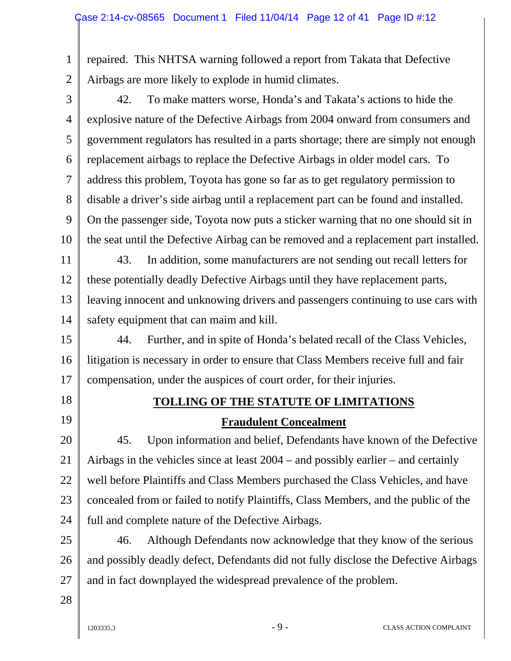1 2 repaired. This NHTSA warning followed a report from Takata that Defective Airbags are more likely to explode in humid climates.

3 4 5 6 7 8 9 10 42. To make matters worse, Honda's and Takata's actions to hide the explosive nature of the Defective Airbags from 2004 onward from consumers and government regulators has resulted in a parts shortage; there are simply not enough replacement airbags to replace the Defective Airbags in older model cars. To address this problem, Toyota has gone so far as to get regulatory permission to disable a driver's side airbag until a replacement part can be found and installed. On the passenger side, Toyota now puts a sticker warning that no one should sit in the seat until the Defective Airbag can be removed and a replacement part installed.

11 12 13 14 43. In addition, some manufacturers are not sending out recall letters for these potentially deadly Defective Airbags until they have replacement parts, leaving innocent and unknowing drivers and passengers continuing to use cars with safety equipment that can maim and kill.

15 16 17 44. Further, and in spite of Honda's belated recall of the Class Vehicles, litigation is necessary in order to ensure that Class Members receive full and fair compensation, under the auspices of court order, for their injuries.

- 18
- 19

## **TOLLING OF THE STATUTE OF LIMITATIONS**

#### **Fraudulent Concealment**

20 21 22 23 24 45. Upon information and belief, Defendants have known of the Defective Airbags in the vehicles since at least 2004 – and possibly earlier – and certainly well before Plaintiffs and Class Members purchased the Class Vehicles, and have concealed from or failed to notify Plaintiffs, Class Members, and the public of the full and complete nature of the Defective Airbags.

25 26 27 46. Although Defendants now acknowledge that they know of the serious and possibly deadly defect, Defendants did not fully disclose the Defective Airbags and in fact downplayed the widespread prevalence of the problem.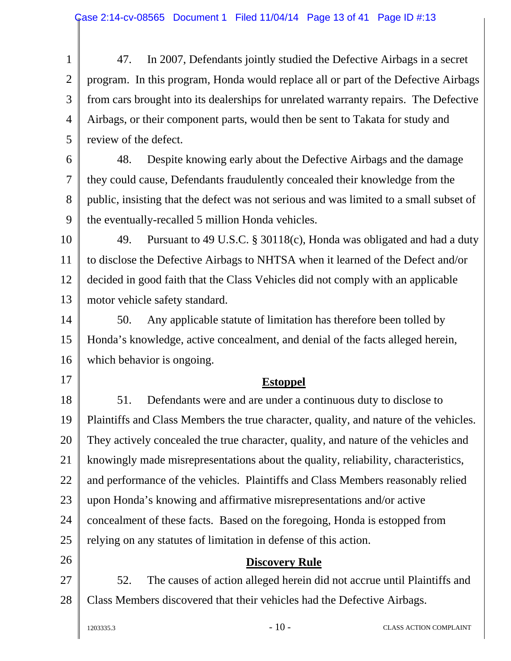1 2 3 4 5 47. In 2007, Defendants jointly studied the Defective Airbags in a secret program. In this program, Honda would replace all or part of the Defective Airbags from cars brought into its dealerships for unrelated warranty repairs. The Defective Airbags, or their component parts, would then be sent to Takata for study and review of the defect.

6 7 8 9 48. Despite knowing early about the Defective Airbags and the damage they could cause, Defendants fraudulently concealed their knowledge from the public, insisting that the defect was not serious and was limited to a small subset of the eventually-recalled 5 million Honda vehicles.

10 11 12 13 49. Pursuant to 49 U.S.C. § 30118(c), Honda was obligated and had a duty to disclose the Defective Airbags to NHTSA when it learned of the Defect and/or decided in good faith that the Class Vehicles did not comply with an applicable motor vehicle safety standard.

14 15 16 50. Any applicable statute of limitation has therefore been tolled by Honda's knowledge, active concealment, and denial of the facts alleged herein, which behavior is ongoing.

#### **Estoppel**

18 19 20 21 22 23 24 25 51. Defendants were and are under a continuous duty to disclose to Plaintiffs and Class Members the true character, quality, and nature of the vehicles. They actively concealed the true character, quality, and nature of the vehicles and knowingly made misrepresentations about the quality, reliability, characteristics, and performance of the vehicles. Plaintiffs and Class Members reasonably relied upon Honda's knowing and affirmative misrepresentations and/or active concealment of these facts. Based on the foregoing, Honda is estopped from relying on any statutes of limitation in defense of this action.

#### **Discovery Rule**

27 28 52. The causes of action alleged herein did not accrue until Plaintiffs and Class Members discovered that their vehicles had the Defective Airbags.

17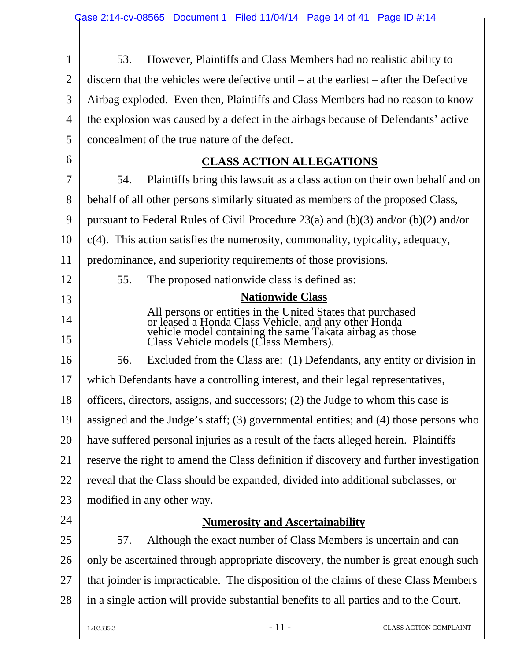$\mathbf{I}$ 

| $\mathbf{1}$   | However, Plaintiffs and Class Members had no realistic ability to<br>53.                                                                                                                                                 |  |  |  |  |  |
|----------------|--------------------------------------------------------------------------------------------------------------------------------------------------------------------------------------------------------------------------|--|--|--|--|--|
| $\overline{2}$ | discern that the vehicles were defective until $-$ at the earliest $-$ after the Defective                                                                                                                               |  |  |  |  |  |
| 3              | Airbag exploded. Even then, Plaintiffs and Class Members had no reason to know                                                                                                                                           |  |  |  |  |  |
| $\overline{4}$ | the explosion was caused by a defect in the airbags because of Defendants' active                                                                                                                                        |  |  |  |  |  |
| 5              | concealment of the true nature of the defect.                                                                                                                                                                            |  |  |  |  |  |
| 6              | <b>CLASS ACTION ALLEGATIONS</b>                                                                                                                                                                                          |  |  |  |  |  |
| 7              | 54.<br>Plaintiffs bring this lawsuit as a class action on their own behalf and on                                                                                                                                        |  |  |  |  |  |
| 8              | behalf of all other persons similarly situated as members of the proposed Class,                                                                                                                                         |  |  |  |  |  |
| 9              | pursuant to Federal Rules of Civil Procedure 23(a) and (b)(3) and/or (b)(2) and/or                                                                                                                                       |  |  |  |  |  |
| 10             | $c(4)$ . This action satisfies the numerosity, commonality, typicality, adequacy,                                                                                                                                        |  |  |  |  |  |
| 11             | predominance, and superiority requirements of those provisions.                                                                                                                                                          |  |  |  |  |  |
| 12             | 55.<br>The proposed nationwide class is defined as:                                                                                                                                                                      |  |  |  |  |  |
| 13             | <b>Nationwide Class</b>                                                                                                                                                                                                  |  |  |  |  |  |
| 14<br>15       | All persons or entities in the United States that purchased<br>or leased a Honda Class Vehicle, and any other Honda<br>vehicle model containing the same Takata airbag as those<br>Class Vehicle models (Class Members). |  |  |  |  |  |
|                |                                                                                                                                                                                                                          |  |  |  |  |  |
| 16             | 56.<br>Excluded from the Class are: (1) Defendants, any entity or division in                                                                                                                                            |  |  |  |  |  |
| 17             | which Defendants have a controlling interest, and their legal representatives,                                                                                                                                           |  |  |  |  |  |
| 18             | officers, directors, assigns, and successors; (2) the Judge to whom this case is                                                                                                                                         |  |  |  |  |  |
| 19             | assigned and the Judge's staff; (3) governmental entities; and (4) those persons who                                                                                                                                     |  |  |  |  |  |
| 20             | have suffered personal injuries as a result of the facts alleged herein. Plaintiffs                                                                                                                                      |  |  |  |  |  |
| 21             | reserve the right to amend the Class definition if discovery and further investigation                                                                                                                                   |  |  |  |  |  |
| 22             | reveal that the Class should be expanded, divided into additional subclasses, or                                                                                                                                         |  |  |  |  |  |
| 23             | modified in any other way.                                                                                                                                                                                               |  |  |  |  |  |
| 24             | <b>Numerosity and Ascertainability</b>                                                                                                                                                                                   |  |  |  |  |  |
| 25             | Although the exact number of Class Members is uncertain and can<br>57.                                                                                                                                                   |  |  |  |  |  |
| 26             | only be ascertained through appropriate discovery, the number is great enough such                                                                                                                                       |  |  |  |  |  |
| 27             | that joinder is impracticable. The disposition of the claims of these Class Members                                                                                                                                      |  |  |  |  |  |
| 28             | in a single action will provide substantial benefits to all parties and to the Court.                                                                                                                                    |  |  |  |  |  |
|                | $-11-$<br>1203335.3<br>CLASS ACTION COMPLAINT                                                                                                                                                                            |  |  |  |  |  |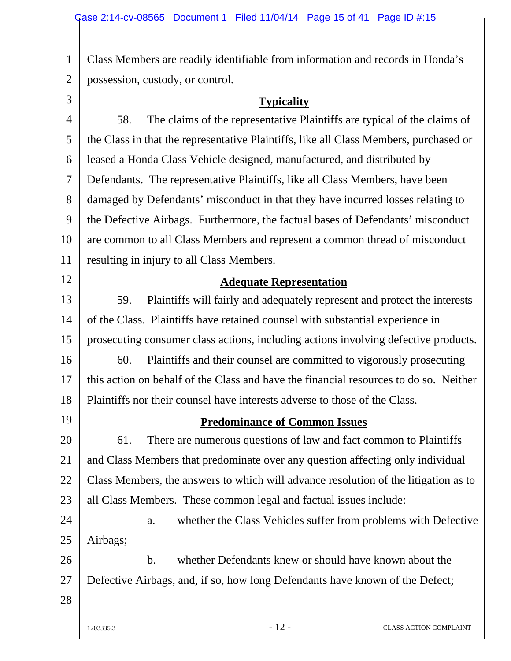Class Members are readily identifiable from information and records in Honda's possession, custody, or control.

3

1

2

#### **Typicality**

4 5 6 7 8 9 10 11 58. The claims of the representative Plaintiffs are typical of the claims of the Class in that the representative Plaintiffs, like all Class Members, purchased or leased a Honda Class Vehicle designed, manufactured, and distributed by Defendants. The representative Plaintiffs, like all Class Members, have been damaged by Defendants' misconduct in that they have incurred losses relating to the Defective Airbags. Furthermore, the factual bases of Defendants' misconduct are common to all Class Members and represent a common thread of misconduct resulting in injury to all Class Members.

#### **Adequate Representation**

13 14 15 16 17 18 59. Plaintiffs will fairly and adequately represent and protect the interests of the Class. Plaintiffs have retained counsel with substantial experience in prosecuting consumer class actions, including actions involving defective products. 60. Plaintiffs and their counsel are committed to vigorously prosecuting this action on behalf of the Class and have the financial resources to do so. Neither Plaintiffs nor their counsel have interests adverse to those of the Class.

19

12

#### **Predominance of Common Issues**

20 21 22 23 61. There are numerous questions of law and fact common to Plaintiffs and Class Members that predominate over any question affecting only individual Class Members, the answers to which will advance resolution of the litigation as to all Class Members. These common legal and factual issues include:

24 25 a. whether the Class Vehicles suffer from problems with Defective Airbags;

26 27 b. whether Defendants knew or should have known about the Defective Airbags, and, if so, how long Defendants have known of the Defect;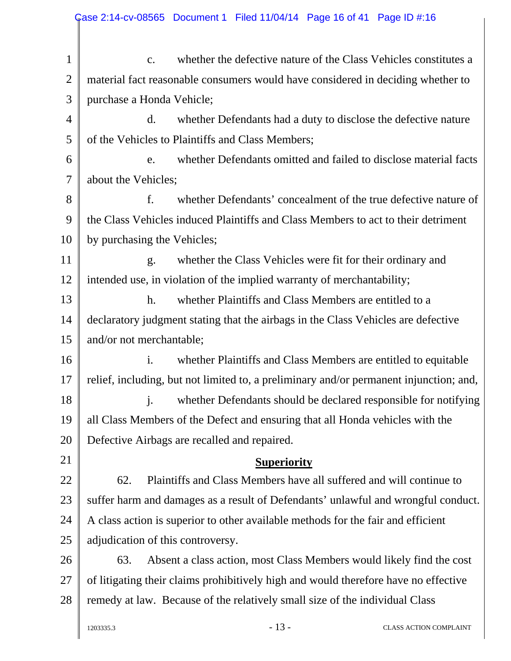| $\mathbf{1}$   | whether the defective nature of the Class Vehicles constitutes a<br>$\mathbf{C}$ .     |  |  |  |  |  |
|----------------|----------------------------------------------------------------------------------------|--|--|--|--|--|
| $\mathfrak{2}$ | material fact reasonable consumers would have considered in deciding whether to        |  |  |  |  |  |
| 3              | purchase a Honda Vehicle;                                                              |  |  |  |  |  |
| $\overline{4}$ | d.<br>whether Defendants had a duty to disclose the defective nature                   |  |  |  |  |  |
| 5              | of the Vehicles to Plaintiffs and Class Members;                                       |  |  |  |  |  |
| 6              | whether Defendants omitted and failed to disclose material facts<br>e.                 |  |  |  |  |  |
| $\overline{7}$ | about the Vehicles;                                                                    |  |  |  |  |  |
| 8              | f.<br>whether Defendants' concealment of the true defective nature of                  |  |  |  |  |  |
| 9              | the Class Vehicles induced Plaintiffs and Class Members to act to their detriment      |  |  |  |  |  |
| 10             | by purchasing the Vehicles;                                                            |  |  |  |  |  |
| 11             | whether the Class Vehicles were fit for their ordinary and<br>g.                       |  |  |  |  |  |
| 12             | intended use, in violation of the implied warranty of merchantability;                 |  |  |  |  |  |
| 13             | h.<br>whether Plaintiffs and Class Members are entitled to a                           |  |  |  |  |  |
| 14             | declaratory judgment stating that the airbags in the Class Vehicles are defective      |  |  |  |  |  |
| 15             | and/or not merchantable;                                                               |  |  |  |  |  |
| 16             | $\mathbf{i}$ .<br>whether Plaintiffs and Class Members are entitled to equitable       |  |  |  |  |  |
| 17             | relief, including, but not limited to, a preliminary and/or permanent injunction; and, |  |  |  |  |  |
| 18             | whether Defendants should be declared responsible for notifying<br>$\mathbf{i}$ .      |  |  |  |  |  |
| 19             | all Class Members of the Defect and ensuring that all Honda vehicles with the          |  |  |  |  |  |
| 20             | Defective Airbags are recalled and repaired.                                           |  |  |  |  |  |
| 21             | <b>Superiority</b>                                                                     |  |  |  |  |  |
| 22             | Plaintiffs and Class Members have all suffered and will continue to<br>62.             |  |  |  |  |  |
| 23             | suffer harm and damages as a result of Defendants' unlawful and wrongful conduct.      |  |  |  |  |  |
| 24             | A class action is superior to other available methods for the fair and efficient       |  |  |  |  |  |
| 25             | adjudication of this controversy.                                                      |  |  |  |  |  |
| 26             | Absent a class action, most Class Members would likely find the cost<br>63.            |  |  |  |  |  |
| 27             | of litigating their claims prohibitively high and would therefore have no effective    |  |  |  |  |  |
| 28             | remedy at law. Because of the relatively small size of the individual Class            |  |  |  |  |  |
|                | $-13-$<br>1203335.3<br>CLASS ACTION COMPLAINT                                          |  |  |  |  |  |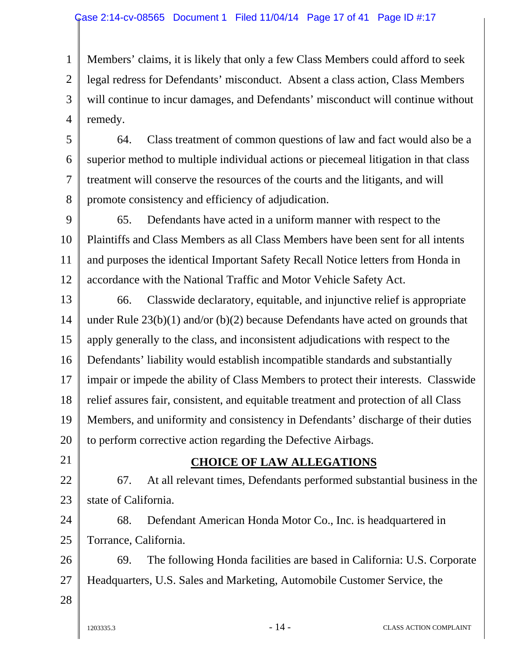1 2 3 4 Members' claims, it is likely that only a few Class Members could afford to seek legal redress for Defendants' misconduct. Absent a class action, Class Members will continue to incur damages, and Defendants' misconduct will continue without remedy.

5 6 7 8 64. Class treatment of common questions of law and fact would also be a superior method to multiple individual actions or piecemeal litigation in that class treatment will conserve the resources of the courts and the litigants, and will promote consistency and efficiency of adjudication.

9 10 11 12 65. Defendants have acted in a uniform manner with respect to the Plaintiffs and Class Members as all Class Members have been sent for all intents and purposes the identical Important Safety Recall Notice letters from Honda in accordance with the National Traffic and Motor Vehicle Safety Act.

13 14 15 16 17 18 19 20 66. Classwide declaratory, equitable, and injunctive relief is appropriate under Rule 23(b)(1) and/or (b)(2) because Defendants have acted on grounds that apply generally to the class, and inconsistent adjudications with respect to the Defendants' liability would establish incompatible standards and substantially impair or impede the ability of Class Members to protect their interests. Classwide relief assures fair, consistent, and equitable treatment and protection of all Class Members, and uniformity and consistency in Defendants' discharge of their duties to perform corrective action regarding the Defective Airbags.

21

#### **CHOICE OF LAW ALLEGATIONS**

22 23 67. At all relevant times, Defendants performed substantial business in the state of California.

24 25 68. Defendant American Honda Motor Co., Inc. is headquartered in Torrance, California.

26 27 69. The following Honda facilities are based in California: U.S. Corporate Headquarters, U.S. Sales and Marketing, Automobile Customer Service, the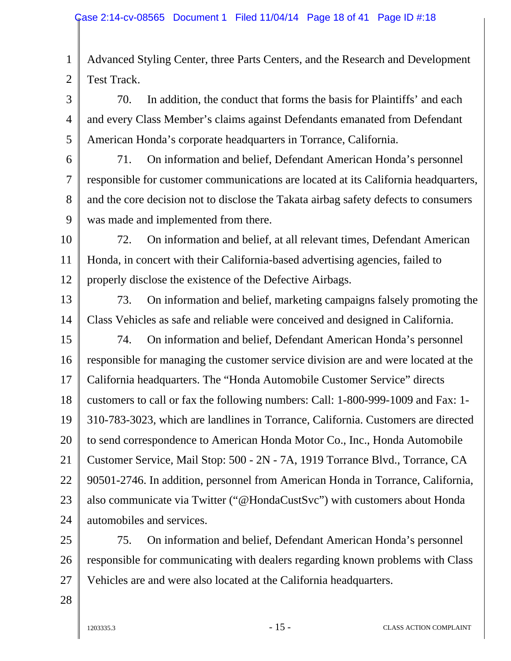1 2 Advanced Styling Center, three Parts Centers, and the Research and Development Test Track.

3 4 5 70. In addition, the conduct that forms the basis for Plaintiffs' and each and every Class Member's claims against Defendants emanated from Defendant American Honda's corporate headquarters in Torrance, California.

6

7

8

9

71. On information and belief, Defendant American Honda's personnel responsible for customer communications are located at its California headquarters, and the core decision not to disclose the Takata airbag safety defects to consumers was made and implemented from there.

10 11 12 72. On information and belief, at all relevant times, Defendant American Honda, in concert with their California-based advertising agencies, failed to properly disclose the existence of the Defective Airbags.

13

14

73. On information and belief, marketing campaigns falsely promoting the Class Vehicles as safe and reliable were conceived and designed in California.

15 16 17 18 19 20 21 22 23 24 74. On information and belief, Defendant American Honda's personnel responsible for managing the customer service division are and were located at the California headquarters. The "Honda Automobile Customer Service" directs customers to call or fax the following numbers: Call: 1-800-999-1009 and Fax: 1- 310-783-3023, which are landlines in Torrance, California. Customers are directed to send correspondence to American Honda Motor Co., Inc., Honda Automobile Customer Service, Mail Stop: 500 - 2N - 7A, 1919 Torrance Blvd., Torrance, CA 90501-2746. In addition, personnel from American Honda in Torrance, California, also communicate via Twitter ("@HondaCustSvc") with customers about Honda automobiles and services.

25 26 27 75. On information and belief, Defendant American Honda's personnel responsible for communicating with dealers regarding known problems with Class Vehicles are and were also located at the California headquarters.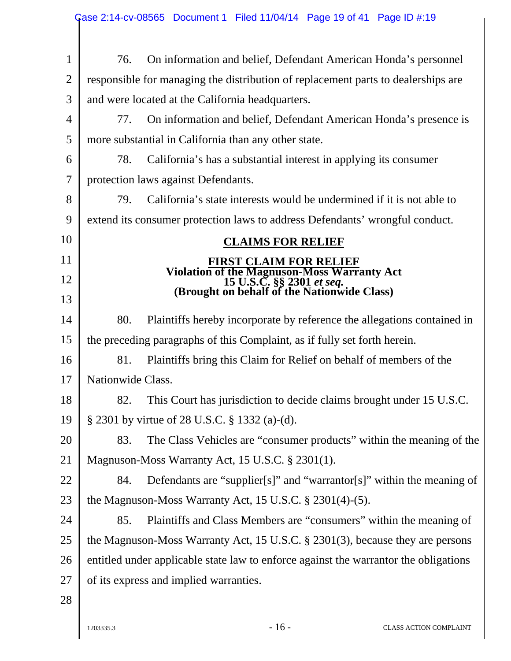|                | Case 2:14-cv-08565 Document 1 Filed 11/04/14 Page 19 of 41 Page ID #:19                                                        |  |  |  |  |  |  |
|----------------|--------------------------------------------------------------------------------------------------------------------------------|--|--|--|--|--|--|
| $\mathbf{1}$   | On information and belief, Defendant American Honda's personnel<br>76.                                                         |  |  |  |  |  |  |
| $\overline{2}$ | responsible for managing the distribution of replacement parts to dealerships are                                              |  |  |  |  |  |  |
| 3              | and were located at the California headquarters.                                                                               |  |  |  |  |  |  |
| $\overline{4}$ | On information and belief, Defendant American Honda's presence is<br>77.                                                       |  |  |  |  |  |  |
| 5              | more substantial in California than any other state.                                                                           |  |  |  |  |  |  |
| 6              | 78.<br>California's has a substantial interest in applying its consumer                                                        |  |  |  |  |  |  |
| $\overline{7}$ | protection laws against Defendants.                                                                                            |  |  |  |  |  |  |
| 8              | California's state interests would be undermined if it is not able to<br>79.                                                   |  |  |  |  |  |  |
| 9              | extend its consumer protection laws to address Defendants' wrongful conduct.                                                   |  |  |  |  |  |  |
| 10             | <b>CLAIMS FOR RELIEF</b>                                                                                                       |  |  |  |  |  |  |
| 11             | <b>FIRST CLAIM FOR RELIEF</b>                                                                                                  |  |  |  |  |  |  |
| 12             | Violation of the Magnuson-Moss Warranty Act<br>15 U.S.C. §§ 2301 <i>et seq.</i><br>(Brought on behalf of the Nationwide Class) |  |  |  |  |  |  |
| 13             |                                                                                                                                |  |  |  |  |  |  |
| 14             | 80.<br>Plaintiffs hereby incorporate by reference the allegations contained in                                                 |  |  |  |  |  |  |
| 15             | the preceding paragraphs of this Complaint, as if fully set forth herein.                                                      |  |  |  |  |  |  |
| 16             | Plaintiffs bring this Claim for Relief on behalf of members of the<br>81.                                                      |  |  |  |  |  |  |
| 17             | Nationwide Class.                                                                                                              |  |  |  |  |  |  |
| 18             | This Court has jurisdiction to decide claims brought under 15 U.S.C.<br>82.                                                    |  |  |  |  |  |  |
| 19             | § 2301 by virtue of 28 U.S.C. § 1332 (a)-(d).                                                                                  |  |  |  |  |  |  |
| 20             | The Class Vehicles are "consumer products" within the meaning of the<br>83.                                                    |  |  |  |  |  |  |
| 21             | Magnuson-Moss Warranty Act, 15 U.S.C. § 2301(1).                                                                               |  |  |  |  |  |  |
| 22             | Defendants are "supplier[s]" and "warrantor[s]" within the meaning of<br>84.                                                   |  |  |  |  |  |  |
| 23             | the Magnuson-Moss Warranty Act, 15 U.S.C. $\S 2301(4)-(5)$ .                                                                   |  |  |  |  |  |  |
| 24             | Plaintiffs and Class Members are "consumers" within the meaning of<br>85.                                                      |  |  |  |  |  |  |
| 25             | the Magnuson-Moss Warranty Act, 15 U.S.C. § 2301(3), because they are persons                                                  |  |  |  |  |  |  |
| 26             | entitled under applicable state law to enforce against the warrantor the obligations                                           |  |  |  |  |  |  |
| 27             | of its express and implied warranties.                                                                                         |  |  |  |  |  |  |
| 28             |                                                                                                                                |  |  |  |  |  |  |
|                |                                                                                                                                |  |  |  |  |  |  |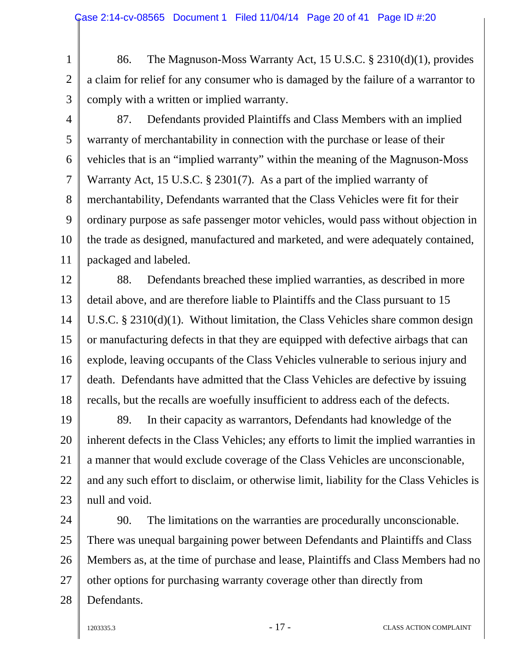1 2 3 86. The Magnuson-Moss Warranty Act, 15 U.S.C. § 2310(d)(1), provides a claim for relief for any consumer who is damaged by the failure of a warrantor to comply with a written or implied warranty.

4

5

6

7

8

9

10

11

87. Defendants provided Plaintiffs and Class Members with an implied warranty of merchantability in connection with the purchase or lease of their vehicles that is an "implied warranty" within the meaning of the Magnuson-Moss Warranty Act, 15 U.S.C. § 2301(7). As a part of the implied warranty of merchantability, Defendants warranted that the Class Vehicles were fit for their ordinary purpose as safe passenger motor vehicles, would pass without objection in the trade as designed, manufactured and marketed, and were adequately contained, packaged and labeled.

12 13 14 15 16 17 18 88. Defendants breached these implied warranties, as described in more detail above, and are therefore liable to Plaintiffs and the Class pursuant to 15 U.S.C. § 2310(d)(1). Without limitation, the Class Vehicles share common design or manufacturing defects in that they are equipped with defective airbags that can explode, leaving occupants of the Class Vehicles vulnerable to serious injury and death. Defendants have admitted that the Class Vehicles are defective by issuing recalls, but the recalls are woefully insufficient to address each of the defects.

19 20 21 22 23 89. In their capacity as warrantors, Defendants had knowledge of the inherent defects in the Class Vehicles; any efforts to limit the implied warranties in a manner that would exclude coverage of the Class Vehicles are unconscionable, and any such effort to disclaim, or otherwise limit, liability for the Class Vehicles is null and void.

24 25 26 27 28 90. The limitations on the warranties are procedurally unconscionable. There was unequal bargaining power between Defendants and Plaintiffs and Class Members as, at the time of purchase and lease, Plaintiffs and Class Members had no other options for purchasing warranty coverage other than directly from Defendants.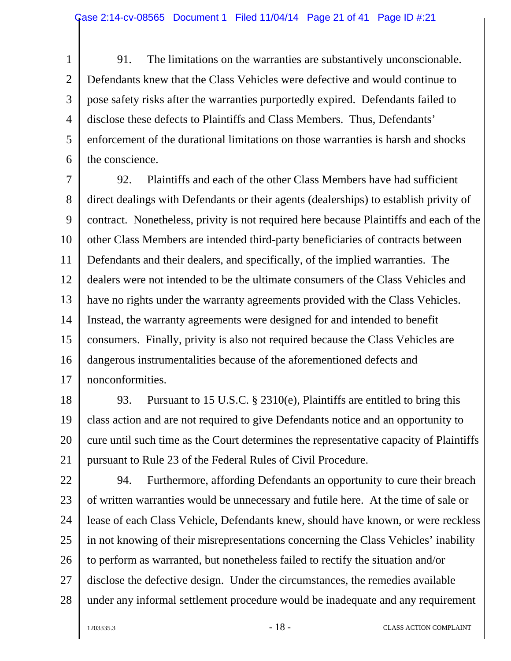1 2 3 4 5 6 91. The limitations on the warranties are substantively unconscionable. Defendants knew that the Class Vehicles were defective and would continue to pose safety risks after the warranties purportedly expired. Defendants failed to disclose these defects to Plaintiffs and Class Members. Thus, Defendants' enforcement of the durational limitations on those warranties is harsh and shocks the conscience.

7 8 9 10 11 12 13 14 15 16 17 92. Plaintiffs and each of the other Class Members have had sufficient direct dealings with Defendants or their agents (dealerships) to establish privity of contract. Nonetheless, privity is not required here because Plaintiffs and each of the other Class Members are intended third-party beneficiaries of contracts between Defendants and their dealers, and specifically, of the implied warranties. The dealers were not intended to be the ultimate consumers of the Class Vehicles and have no rights under the warranty agreements provided with the Class Vehicles. Instead, the warranty agreements were designed for and intended to benefit consumers. Finally, privity is also not required because the Class Vehicles are dangerous instrumentalities because of the aforementioned defects and nonconformities.

18 19 20 21 93. Pursuant to 15 U.S.C. § 2310(e), Plaintiffs are entitled to bring this class action and are not required to give Defendants notice and an opportunity to cure until such time as the Court determines the representative capacity of Plaintiffs pursuant to Rule 23 of the Federal Rules of Civil Procedure.

22 23 24 25 26 27 28 94. Furthermore, affording Defendants an opportunity to cure their breach of written warranties would be unnecessary and futile here. At the time of sale or lease of each Class Vehicle, Defendants knew, should have known, or were reckless in not knowing of their misrepresentations concerning the Class Vehicles' inability to perform as warranted, but nonetheless failed to rectify the situation and/or disclose the defective design. Under the circumstances, the remedies available under any informal settlement procedure would be inadequate and any requirement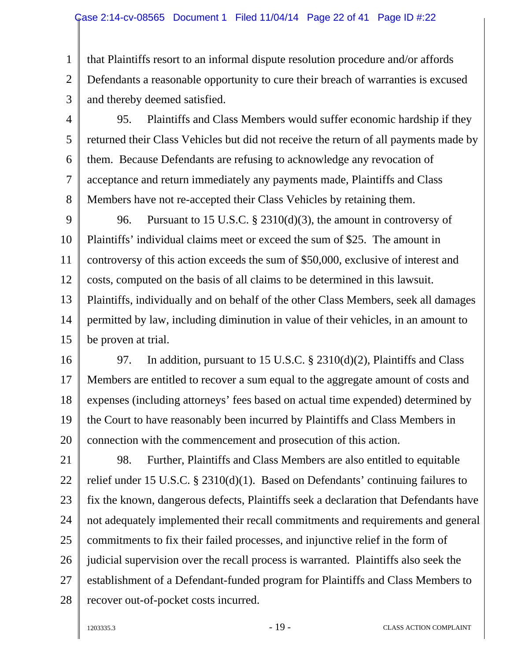1 2 3 that Plaintiffs resort to an informal dispute resolution procedure and/or affords Defendants a reasonable opportunity to cure their breach of warranties is excused and thereby deemed satisfied.

4 5 6 7 8 95. Plaintiffs and Class Members would suffer economic hardship if they returned their Class Vehicles but did not receive the return of all payments made by them. Because Defendants are refusing to acknowledge any revocation of acceptance and return immediately any payments made, Plaintiffs and Class Members have not re-accepted their Class Vehicles by retaining them.

9 10 11 12 13 14 15 96. Pursuant to 15 U.S.C. § 2310(d)(3), the amount in controversy of Plaintiffs' individual claims meet or exceed the sum of \$25. The amount in controversy of this action exceeds the sum of \$50,000, exclusive of interest and costs, computed on the basis of all claims to be determined in this lawsuit. Plaintiffs, individually and on behalf of the other Class Members, seek all damages permitted by law, including diminution in value of their vehicles, in an amount to be proven at trial.

16 17 18 19 20 97. In addition, pursuant to 15 U.S.C. § 2310(d)(2), Plaintiffs and Class Members are entitled to recover a sum equal to the aggregate amount of costs and expenses (including attorneys' fees based on actual time expended) determined by the Court to have reasonably been incurred by Plaintiffs and Class Members in connection with the commencement and prosecution of this action.

21 22 23 24 25 26 27 28 98. Further, Plaintiffs and Class Members are also entitled to equitable relief under 15 U.S.C. § 2310(d)(1). Based on Defendants' continuing failures to fix the known, dangerous defects, Plaintiffs seek a declaration that Defendants have not adequately implemented their recall commitments and requirements and general commitments to fix their failed processes, and injunctive relief in the form of judicial supervision over the recall process is warranted. Plaintiffs also seek the establishment of a Defendant-funded program for Plaintiffs and Class Members to recover out-of-pocket costs incurred.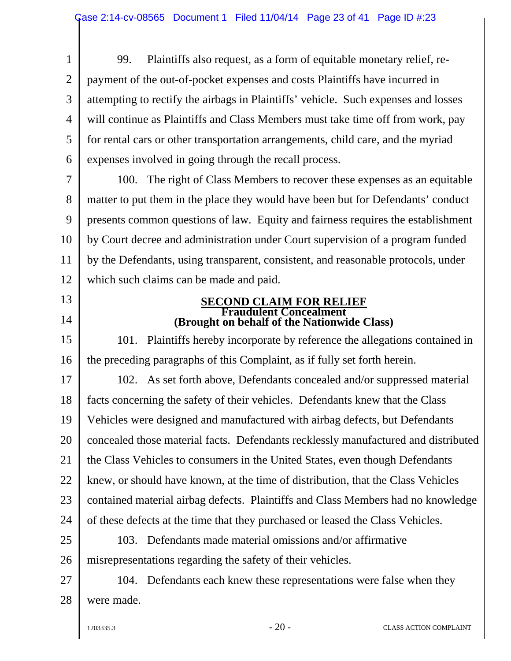1 2 3 4 5 6 99. Plaintiffs also request, as a form of equitable monetary relief, repayment of the out-of-pocket expenses and costs Plaintiffs have incurred in attempting to rectify the airbags in Plaintiffs' vehicle. Such expenses and losses will continue as Plaintiffs and Class Members must take time off from work, pay for rental cars or other transportation arrangements, child care, and the myriad expenses involved in going through the recall process.

7 8 9 10 11 12 100. The right of Class Members to recover these expenses as an equitable matter to put them in the place they would have been but for Defendants' conduct presents common questions of law. Equity and fairness requires the establishment by Court decree and administration under Court supervision of a program funded by the Defendants, using transparent, consistent, and reasonable protocols, under which such claims can be made and paid.

#### **SECOND CLAIM FOR RELIEF Fraudulent Concealment (Brought on behalf of the Nationwide Class)**

15 16 101. Plaintiffs hereby incorporate by reference the allegations contained in the preceding paragraphs of this Complaint, as if fully set forth herein.

17 18 19 20 21 22 23 24 102. As set forth above, Defendants concealed and/or suppressed material facts concerning the safety of their vehicles. Defendants knew that the Class Vehicles were designed and manufactured with airbag defects, but Defendants concealed those material facts. Defendants recklessly manufactured and distributed the Class Vehicles to consumers in the United States, even though Defendants knew, or should have known, at the time of distribution, that the Class Vehicles contained material airbag defects. Plaintiffs and Class Members had no knowledge of these defects at the time that they purchased or leased the Class Vehicles.

25 26 103. Defendants made material omissions and/or affirmative misrepresentations regarding the safety of their vehicles.

27 28 104. Defendants each knew these representations were false when they were made.

13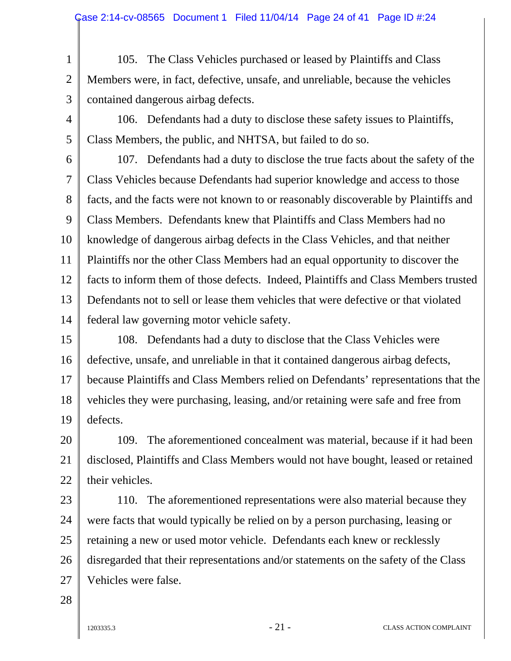1 2 3 105. The Class Vehicles purchased or leased by Plaintiffs and Class Members were, in fact, defective, unsafe, and unreliable, because the vehicles contained dangerous airbag defects.

4 5 106. Defendants had a duty to disclose these safety issues to Plaintiffs, Class Members, the public, and NHTSA, but failed to do so.

6 7 8 9 10 11 12 13 14 107. Defendants had a duty to disclose the true facts about the safety of the Class Vehicles because Defendants had superior knowledge and access to those facts, and the facts were not known to or reasonably discoverable by Plaintiffs and Class Members. Defendants knew that Plaintiffs and Class Members had no knowledge of dangerous airbag defects in the Class Vehicles, and that neither Plaintiffs nor the other Class Members had an equal opportunity to discover the facts to inform them of those defects. Indeed, Plaintiffs and Class Members trusted Defendants not to sell or lease them vehicles that were defective or that violated federal law governing motor vehicle safety.

15 16 17 18 19 108. Defendants had a duty to disclose that the Class Vehicles were defective, unsafe, and unreliable in that it contained dangerous airbag defects, because Plaintiffs and Class Members relied on Defendants' representations that the vehicles they were purchasing, leasing, and/or retaining were safe and free from defects.

20 21 22 109. The aforementioned concealment was material, because if it had been disclosed, Plaintiffs and Class Members would not have bought, leased or retained their vehicles.

23 24 25 26 27 110. The aforementioned representations were also material because they were facts that would typically be relied on by a person purchasing, leasing or retaining a new or used motor vehicle. Defendants each knew or recklessly disregarded that their representations and/or statements on the safety of the Class Vehicles were false.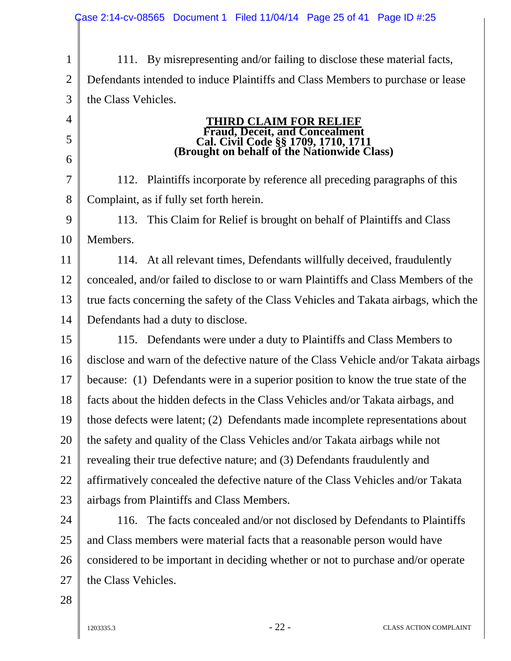|                | Case 2:14-cv-08565 Document 1 Filed 11/04/14 Page 25 of 41 Page ID #:25                                              |  |  |  |  |  |
|----------------|----------------------------------------------------------------------------------------------------------------------|--|--|--|--|--|
|                |                                                                                                                      |  |  |  |  |  |
| $\mathbf{1}$   | 111. By misrepresenting and/or failing to disclose these material facts,                                             |  |  |  |  |  |
| $\overline{2}$ | Defendants intended to induce Plaintiffs and Class Members to purchase or lease                                      |  |  |  |  |  |
| 3              | the Class Vehicles.                                                                                                  |  |  |  |  |  |
| $\overline{4}$ | <b>THIRD CLAIM FOR RELIEF</b>                                                                                        |  |  |  |  |  |
| 5              | Fraud, Deceit, and Concealment<br>Cal. Civil Code §§ 1709, 1710, 1711<br>(Brought on behalf of the Nationwide Class) |  |  |  |  |  |
| 6              |                                                                                                                      |  |  |  |  |  |
| $\overline{7}$ | 112. Plaintiffs incorporate by reference all preceding paragraphs of this                                            |  |  |  |  |  |
| 8              | Complaint, as if fully set forth herein.                                                                             |  |  |  |  |  |
| 9              | This Claim for Relief is brought on behalf of Plaintiffs and Class<br>113.                                           |  |  |  |  |  |
| 10             | Members.                                                                                                             |  |  |  |  |  |
| 11             | 114. At all relevant times, Defendants willfully deceived, fraudulently                                              |  |  |  |  |  |
| 12             | concealed, and/or failed to disclose to or warn Plaintiffs and Class Members of the                                  |  |  |  |  |  |
| 13             | true facts concerning the safety of the Class Vehicles and Takata airbags, which the                                 |  |  |  |  |  |
| 14             | Defendants had a duty to disclose.                                                                                   |  |  |  |  |  |
| 15             | 115. Defendants were under a duty to Plaintiffs and Class Members to                                                 |  |  |  |  |  |
| 16             | disclose and warn of the defective nature of the Class Vehicle and/or Takata airbags                                 |  |  |  |  |  |
| 17             | because: (1) Defendants were in a superior position to know the true state of the                                    |  |  |  |  |  |
| 18             | facts about the hidden defects in the Class Vehicles and/or Takata airbags, and                                      |  |  |  |  |  |
| 19             | those defects were latent; (2) Defendants made incomplete representations about                                      |  |  |  |  |  |
| 20             | the safety and quality of the Class Vehicles and/or Takata airbags while not                                         |  |  |  |  |  |
| 21             | revealing their true defective nature; and (3) Defendants fraudulently and                                           |  |  |  |  |  |
| 22             | affirmatively concealed the defective nature of the Class Vehicles and/or Takata                                     |  |  |  |  |  |
| 23             | airbags from Plaintiffs and Class Members.                                                                           |  |  |  |  |  |
| 24             | The facts concealed and/or not disclosed by Defendants to Plaintiffs<br>116.                                         |  |  |  |  |  |
| 25             | and Class members were material facts that a reasonable person would have                                            |  |  |  |  |  |
| 26             | considered to be important in deciding whether or not to purchase and/or operate                                     |  |  |  |  |  |
| 27             | the Class Vehicles.                                                                                                  |  |  |  |  |  |
| 28             |                                                                                                                      |  |  |  |  |  |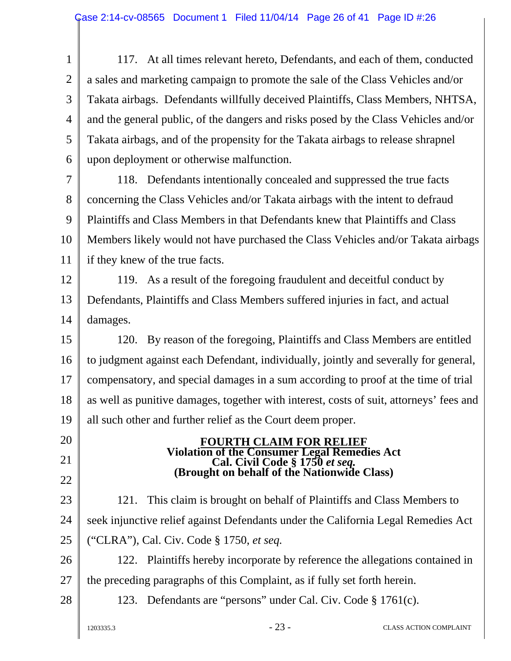1 2 3 4 5 6 117. At all times relevant hereto, Defendants, and each of them, conducted a sales and marketing campaign to promote the sale of the Class Vehicles and/or Takata airbags. Defendants willfully deceived Plaintiffs, Class Members, NHTSA, and the general public, of the dangers and risks posed by the Class Vehicles and/or Takata airbags, and of the propensity for the Takata airbags to release shrapnel upon deployment or otherwise malfunction.

7 8 9 10 11 118. Defendants intentionally concealed and suppressed the true facts concerning the Class Vehicles and/or Takata airbags with the intent to defraud Plaintiffs and Class Members in that Defendants knew that Plaintiffs and Class Members likely would not have purchased the Class Vehicles and/or Takata airbags if they knew of the true facts.

12 13 14 119. As a result of the foregoing fraudulent and deceitful conduct by Defendants, Plaintiffs and Class Members suffered injuries in fact, and actual damages.

15 16 17 18 19 120. By reason of the foregoing, Plaintiffs and Class Members are entitled to judgment against each Defendant, individually, jointly and severally for general, compensatory, and special damages in a sum according to proof at the time of trial as well as punitive damages, together with interest, costs of suit, attorneys' fees and all such other and further relief as the Court deem proper.

# **FOURTH CLAIM FOR RELIEF Violation of the Consumer Legal Remedies Act Cal. Civil Code § 1750** *et seq.* **(Brought on behalf of the Nationwide Class)**

23 24 25 121. This claim is brought on behalf of Plaintiffs and Class Members to seek injunctive relief against Defendants under the California Legal Remedies Act ("CLRA"), Cal. Civ. Code § 1750, *et seq.*

26 27 122. Plaintiffs hereby incorporate by reference the allegations contained in the preceding paragraphs of this Complaint, as if fully set forth herein.

28

20

21

22

123. Defendants are "persons" under Cal. Civ. Code § 1761(c).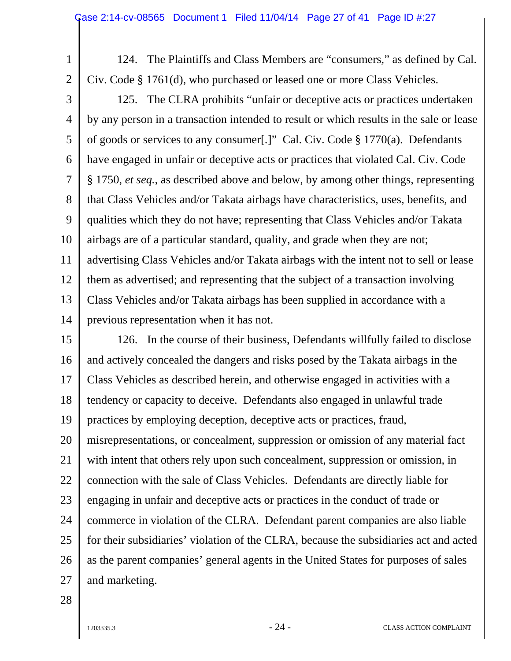124. The Plaintiffs and Class Members are "consumers," as defined by Cal. Civ. Code § 1761(d), who purchased or leased one or more Class Vehicles.

3 4 5 6 7 8 9 10 11 12 13 14 125. The CLRA prohibits "unfair or deceptive acts or practices undertaken by any person in a transaction intended to result or which results in the sale or lease of goods or services to any consumer[.]" Cal. Civ. Code § 1770(a). Defendants have engaged in unfair or deceptive acts or practices that violated Cal. Civ. Code § 1750, *et seq.*, as described above and below, by among other things, representing that Class Vehicles and/or Takata airbags have characteristics, uses, benefits, and qualities which they do not have; representing that Class Vehicles and/or Takata airbags are of a particular standard, quality, and grade when they are not; advertising Class Vehicles and/or Takata airbags with the intent not to sell or lease them as advertised; and representing that the subject of a transaction involving Class Vehicles and/or Takata airbags has been supplied in accordance with a previous representation when it has not.

15 16 17 18 19 20 21 22 23 24 25 26 27 126. In the course of their business, Defendants willfully failed to disclose and actively concealed the dangers and risks posed by the Takata airbags in the Class Vehicles as described herein, and otherwise engaged in activities with a tendency or capacity to deceive. Defendants also engaged in unlawful trade practices by employing deception, deceptive acts or practices, fraud, misrepresentations, or concealment, suppression or omission of any material fact with intent that others rely upon such concealment, suppression or omission, in connection with the sale of Class Vehicles. Defendants are directly liable for engaging in unfair and deceptive acts or practices in the conduct of trade or commerce in violation of the CLRA. Defendant parent companies are also liable for their subsidiaries' violation of the CLRA, because the subsidiaries act and acted as the parent companies' general agents in the United States for purposes of sales and marketing.

28

1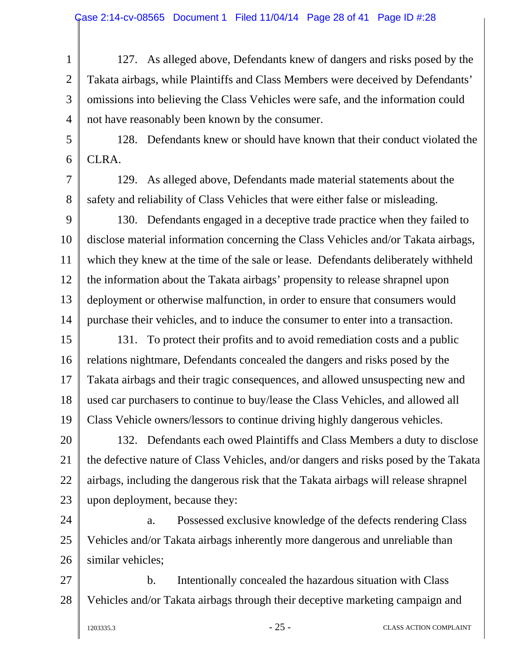1 2 3 4 127. As alleged above, Defendants knew of dangers and risks posed by the Takata airbags, while Plaintiffs and Class Members were deceived by Defendants' omissions into believing the Class Vehicles were safe, and the information could not have reasonably been known by the consumer.

5 6 128. Defendants knew or should have known that their conduct violated the CLRA.

129. As alleged above, Defendants made material statements about the safety and reliability of Class Vehicles that were either false or misleading.

9 10 11 12 13 14 130. Defendants engaged in a deceptive trade practice when they failed to disclose material information concerning the Class Vehicles and/or Takata airbags, which they knew at the time of the sale or lease. Defendants deliberately withheld the information about the Takata airbags' propensity to release shrapnel upon deployment or otherwise malfunction, in order to ensure that consumers would purchase their vehicles, and to induce the consumer to enter into a transaction.

15 16 17 18 19 131. To protect their profits and to avoid remediation costs and a public relations nightmare, Defendants concealed the dangers and risks posed by the Takata airbags and their tragic consequences, and allowed unsuspecting new and used car purchasers to continue to buy/lease the Class Vehicles, and allowed all Class Vehicle owners/lessors to continue driving highly dangerous vehicles.

20 21 22 23 132. Defendants each owed Plaintiffs and Class Members a duty to disclose the defective nature of Class Vehicles, and/or dangers and risks posed by the Takata airbags, including the dangerous risk that the Takata airbags will release shrapnel upon deployment, because they:

24 25 26 a. Possessed exclusive knowledge of the defects rendering Class Vehicles and/or Takata airbags inherently more dangerous and unreliable than similar vehicles;

27 28 b. Intentionally concealed the hazardous situation with Class Vehicles and/or Takata airbags through their deceptive marketing campaign and

7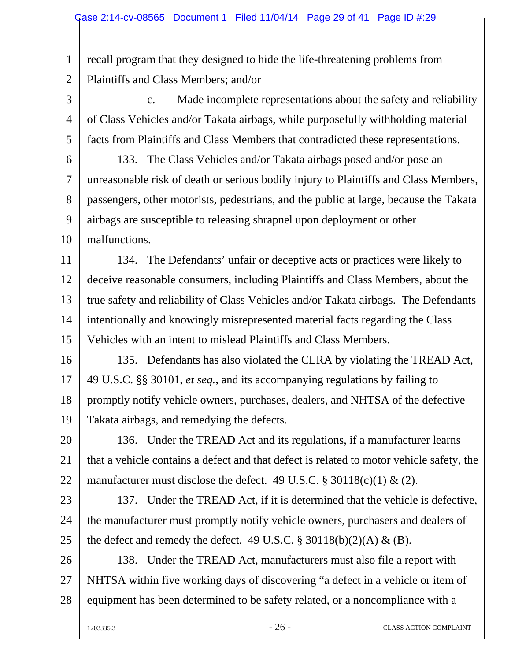1 2 recall program that they designed to hide the life-threatening problems from Plaintiffs and Class Members; and/or

3 4 5 c. Made incomplete representations about the safety and reliability of Class Vehicles and/or Takata airbags, while purposefully withholding material facts from Plaintiffs and Class Members that contradicted these representations.

6 7 8 9 10 133. The Class Vehicles and/or Takata airbags posed and/or pose an unreasonable risk of death or serious bodily injury to Plaintiffs and Class Members, passengers, other motorists, pedestrians, and the public at large, because the Takata airbags are susceptible to releasing shrapnel upon deployment or other malfunctions.

11 12 13 14 15 134. The Defendants' unfair or deceptive acts or practices were likely to deceive reasonable consumers, including Plaintiffs and Class Members, about the true safety and reliability of Class Vehicles and/or Takata airbags. The Defendants intentionally and knowingly misrepresented material facts regarding the Class Vehicles with an intent to mislead Plaintiffs and Class Members.

16 17 18 19 135. Defendants has also violated the CLRA by violating the TREAD Act, 49 U.S.C. §§ 30101, *et seq.*, and its accompanying regulations by failing to promptly notify vehicle owners, purchases, dealers, and NHTSA of the defective Takata airbags, and remedying the defects.

20 21 22 136. Under the TREAD Act and its regulations, if a manufacturer learns that a vehicle contains a defect and that defect is related to motor vehicle safety, the manufacturer must disclose the defect. 49 U.S.C.  $\S 30118(c)(1) \& (2)$ .

23

24 25

137. Under the TREAD Act, if it is determined that the vehicle is defective, the manufacturer must promptly notify vehicle owners, purchasers and dealers of the defect and remedy the defect. 49 U.S.C.  $\S 30118(b)(2)(A) \& (B)$ .

26 27 28 138. Under the TREAD Act, manufacturers must also file a report with NHTSA within five working days of discovering "a defect in a vehicle or item of equipment has been determined to be safety related, or a noncompliance with a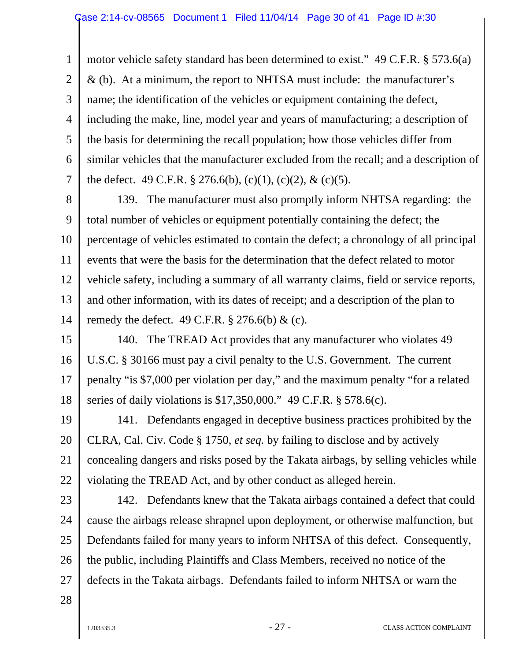1 2 3 4 5 6 7 motor vehicle safety standard has been determined to exist." 49 C.F.R. § 573.6(a) & (b). At a minimum, the report to NHTSA must include: the manufacturer's name; the identification of the vehicles or equipment containing the defect, including the make, line, model year and years of manufacturing; a description of the basis for determining the recall population; how those vehicles differ from similar vehicles that the manufacturer excluded from the recall; and a description of the defect. 49 C.F.R. § 276.6(b), (c)(1), (c)(2), & (c)(5).

8 9 10 11 12 13 14 139. The manufacturer must also promptly inform NHTSA regarding: the total number of vehicles or equipment potentially containing the defect; the percentage of vehicles estimated to contain the defect; a chronology of all principal events that were the basis for the determination that the defect related to motor vehicle safety, including a summary of all warranty claims, field or service reports, and other information, with its dates of receipt; and a description of the plan to remedy the defect. 49 C.F.R.  $\S 276.6(b) \&$  (c).

15 16 17 18 140. The TREAD Act provides that any manufacturer who violates 49 U.S.C. § 30166 must pay a civil penalty to the U.S. Government. The current penalty "is \$7,000 per violation per day," and the maximum penalty "for a related series of daily violations is \$17,350,000." 49 C.F.R. § 578.6(c).

19 20 21 22 141. Defendants engaged in deceptive business practices prohibited by the CLRA, Cal. Civ. Code § 1750, *et seq.* by failing to disclose and by actively concealing dangers and risks posed by the Takata airbags, by selling vehicles while violating the TREAD Act, and by other conduct as alleged herein.

23 24 25 26 27 142. Defendants knew that the Takata airbags contained a defect that could cause the airbags release shrapnel upon deployment, or otherwise malfunction, but Defendants failed for many years to inform NHTSA of this defect. Consequently, the public, including Plaintiffs and Class Members, received no notice of the defects in the Takata airbags. Defendants failed to inform NHTSA or warn the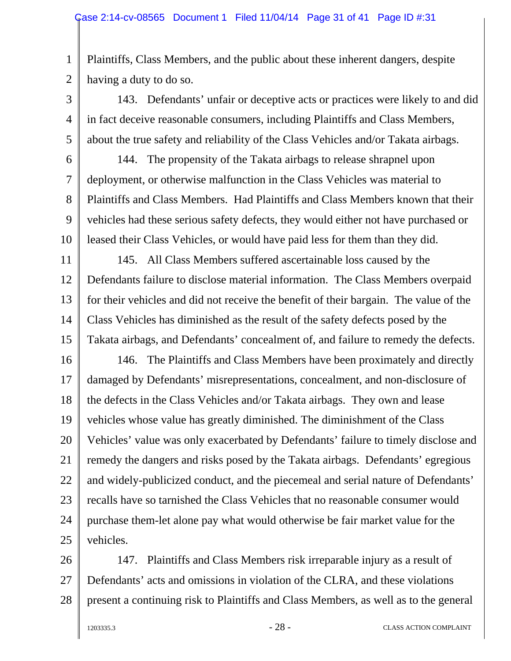1 2 Plaintiffs, Class Members, and the public about these inherent dangers, despite having a duty to do so.

3 4 5 143. Defendants' unfair or deceptive acts or practices were likely to and did in fact deceive reasonable consumers, including Plaintiffs and Class Members, about the true safety and reliability of the Class Vehicles and/or Takata airbags.

6

7

8

9

10

144. The propensity of the Takata airbags to release shrapnel upon deployment, or otherwise malfunction in the Class Vehicles was material to Plaintiffs and Class Members. Had Plaintiffs and Class Members known that their vehicles had these serious safety defects, they would either not have purchased or leased their Class Vehicles, or would have paid less for them than they did.

11 12 13 14 15 145. All Class Members suffered ascertainable loss caused by the Defendants failure to disclose material information. The Class Members overpaid for their vehicles and did not receive the benefit of their bargain. The value of the Class Vehicles has diminished as the result of the safety defects posed by the Takata airbags, and Defendants' concealment of, and failure to remedy the defects.

16 17 18 19 20 21 22 23 24 25 146. The Plaintiffs and Class Members have been proximately and directly damaged by Defendants' misrepresentations, concealment, and non-disclosure of the defects in the Class Vehicles and/or Takata airbags. They own and lease vehicles whose value has greatly diminished. The diminishment of the Class Vehicles' value was only exacerbated by Defendants' failure to timely disclose and remedy the dangers and risks posed by the Takata airbags. Defendants' egregious and widely-publicized conduct, and the piecemeal and serial nature of Defendants' recalls have so tarnished the Class Vehicles that no reasonable consumer would purchase them-let alone pay what would otherwise be fair market value for the vehicles.

26 27 28 147. Plaintiffs and Class Members risk irreparable injury as a result of Defendants' acts and omissions in violation of the CLRA, and these violations present a continuing risk to Plaintiffs and Class Members, as well as to the general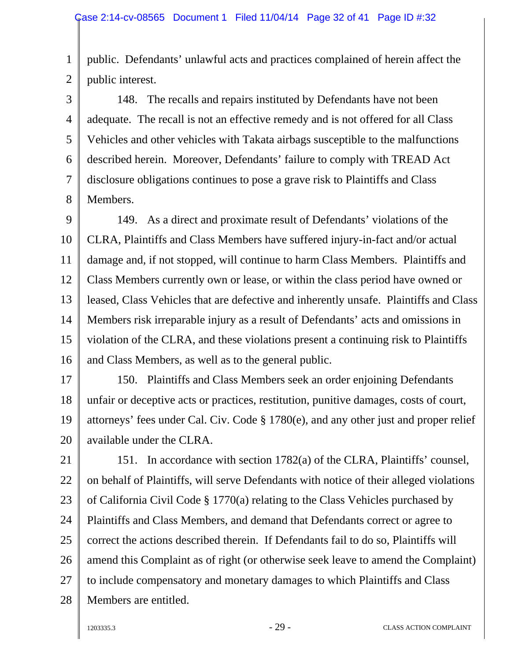1 2 public. Defendants' unlawful acts and practices complained of herein affect the public interest.

3 4 5 6 7 8 148. The recalls and repairs instituted by Defendants have not been adequate. The recall is not an effective remedy and is not offered for all Class Vehicles and other vehicles with Takata airbags susceptible to the malfunctions described herein. Moreover, Defendants' failure to comply with TREAD Act disclosure obligations continues to pose a grave risk to Plaintiffs and Class Members.

9 10 11 12 13 14 15 16 149. As a direct and proximate result of Defendants' violations of the CLRA, Plaintiffs and Class Members have suffered injury-in-fact and/or actual damage and, if not stopped, will continue to harm Class Members. Plaintiffs and Class Members currently own or lease, or within the class period have owned or leased, Class Vehicles that are defective and inherently unsafe. Plaintiffs and Class Members risk irreparable injury as a result of Defendants' acts and omissions in violation of the CLRA, and these violations present a continuing risk to Plaintiffs and Class Members, as well as to the general public.

17 18 19 20 150. Plaintiffs and Class Members seek an order enjoining Defendants unfair or deceptive acts or practices, restitution, punitive damages, costs of court, attorneys' fees under Cal. Civ. Code § 1780(e), and any other just and proper relief available under the CLRA.

21 22 23 24 25 26 27 28 151. In accordance with section 1782(a) of the CLRA, Plaintiffs' counsel, on behalf of Plaintiffs, will serve Defendants with notice of their alleged violations of California Civil Code § 1770(a) relating to the Class Vehicles purchased by Plaintiffs and Class Members, and demand that Defendants correct or agree to correct the actions described therein. If Defendants fail to do so, Plaintiffs will amend this Complaint as of right (or otherwise seek leave to amend the Complaint) to include compensatory and monetary damages to which Plaintiffs and Class Members are entitled.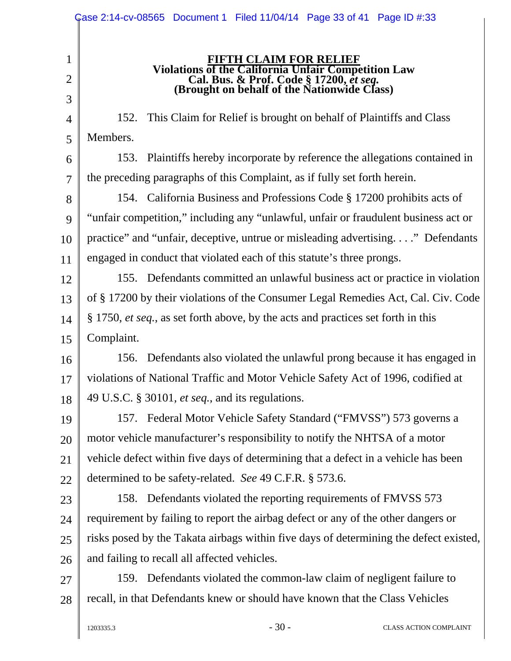|                          | Case 2:14-cv-08565 Document 1 Filed 11/04/14 Page 33 of 41 Page ID #:33                                                                                                        |  |  |  |  |  |
|--------------------------|--------------------------------------------------------------------------------------------------------------------------------------------------------------------------------|--|--|--|--|--|
| 1<br>$\overline{2}$<br>3 | <b>FIFTH CLAIM FOR RELIEF</b><br>Violations of the California Unfair Competition Law<br>Cal. Bus. & Prof. Code § 17200, et seq.<br>(Brought on behalf of the Nationwide Class) |  |  |  |  |  |
| 4                        | This Claim for Relief is brought on behalf of Plaintiffs and Class<br>152.                                                                                                     |  |  |  |  |  |
| 5                        | Members.                                                                                                                                                                       |  |  |  |  |  |
| 6                        | 153. Plaintiffs hereby incorporate by reference the allegations contained in                                                                                                   |  |  |  |  |  |
| $\overline{7}$           | the preceding paragraphs of this Complaint, as if fully set forth herein.                                                                                                      |  |  |  |  |  |
| 8                        | 154. California Business and Professions Code § 17200 prohibits acts of                                                                                                        |  |  |  |  |  |
| 9                        | "unfair competition," including any "unlawful, unfair or fraudulent business act or                                                                                            |  |  |  |  |  |
| 10                       | practice" and "unfair, deceptive, untrue or misleading advertising" Defendants                                                                                                 |  |  |  |  |  |
| 11                       | engaged in conduct that violated each of this statute's three prongs.                                                                                                          |  |  |  |  |  |
| 12                       | 155. Defendants committed an unlawful business act or practice in violation                                                                                                    |  |  |  |  |  |
| 13                       | of § 17200 by their violations of the Consumer Legal Remedies Act, Cal. Civ. Code                                                                                              |  |  |  |  |  |
| 14                       | § 1750, <i>et seq.</i> , as set forth above, by the acts and practices set forth in this                                                                                       |  |  |  |  |  |
| 15                       | Complaint.                                                                                                                                                                     |  |  |  |  |  |
| 16                       | 156. Defendants also violated the unlawful prong because it has engaged in                                                                                                     |  |  |  |  |  |
| 17                       | violations of National Traffic and Motor Vehicle Safety Act of 1996, codified at                                                                                               |  |  |  |  |  |
| 18                       | 49 U.S.C. § 30101, et seq., and its regulations.                                                                                                                               |  |  |  |  |  |
| 19                       | 157. Federal Motor Vehicle Safety Standard ("FMVSS") 573 governs a                                                                                                             |  |  |  |  |  |
| 20                       | motor vehicle manufacturer's responsibility to notify the NHTSA of a motor                                                                                                     |  |  |  |  |  |
| 21                       | vehicle defect within five days of determining that a defect in a vehicle has been                                                                                             |  |  |  |  |  |
| 22                       | determined to be safety-related. See 49 C.F.R. § 573.6.                                                                                                                        |  |  |  |  |  |
| 23                       | 158. Defendants violated the reporting requirements of FMVSS 573                                                                                                               |  |  |  |  |  |
| 24                       | requirement by failing to report the airbag defect or any of the other dangers or                                                                                              |  |  |  |  |  |
| 25                       | risks posed by the Takata airbags within five days of determining the defect existed,                                                                                          |  |  |  |  |  |
| 26                       | and failing to recall all affected vehicles.                                                                                                                                   |  |  |  |  |  |
| 27                       | 159. Defendants violated the common-law claim of negligent failure to                                                                                                          |  |  |  |  |  |
| 28                       | recall, in that Defendants knew or should have known that the Class Vehicles                                                                                                   |  |  |  |  |  |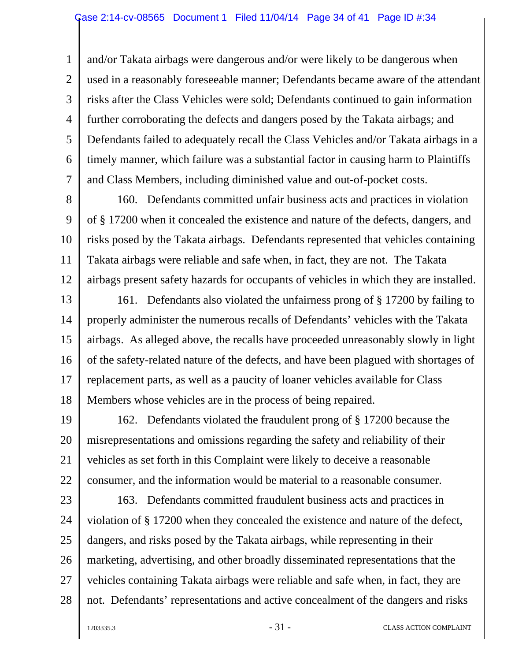1 2 3 4 5 6 7 and/or Takata airbags were dangerous and/or were likely to be dangerous when used in a reasonably foreseeable manner; Defendants became aware of the attendant risks after the Class Vehicles were sold; Defendants continued to gain information further corroborating the defects and dangers posed by the Takata airbags; and Defendants failed to adequately recall the Class Vehicles and/or Takata airbags in a timely manner, which failure was a substantial factor in causing harm to Plaintiffs and Class Members, including diminished value and out-of-pocket costs.

8 9 10 11 12 160. Defendants committed unfair business acts and practices in violation of § 17200 when it concealed the existence and nature of the defects, dangers, and risks posed by the Takata airbags. Defendants represented that vehicles containing Takata airbags were reliable and safe when, in fact, they are not. The Takata airbags present safety hazards for occupants of vehicles in which they are installed.

13 14 15 16 17 18 161. Defendants also violated the unfairness prong of § 17200 by failing to properly administer the numerous recalls of Defendants' vehicles with the Takata airbags. As alleged above, the recalls have proceeded unreasonably slowly in light of the safety-related nature of the defects, and have been plagued with shortages of replacement parts, as well as a paucity of loaner vehicles available for Class Members whose vehicles are in the process of being repaired.

19 20 21 22 162. Defendants violated the fraudulent prong of § 17200 because the misrepresentations and omissions regarding the safety and reliability of their vehicles as set forth in this Complaint were likely to deceive a reasonable consumer, and the information would be material to a reasonable consumer.

23 24 25 26 27 28 163. Defendants committed fraudulent business acts and practices in violation of § 17200 when they concealed the existence and nature of the defect, dangers, and risks posed by the Takata airbags, while representing in their marketing, advertising, and other broadly disseminated representations that the vehicles containing Takata airbags were reliable and safe when, in fact, they are not. Defendants' representations and active concealment of the dangers and risks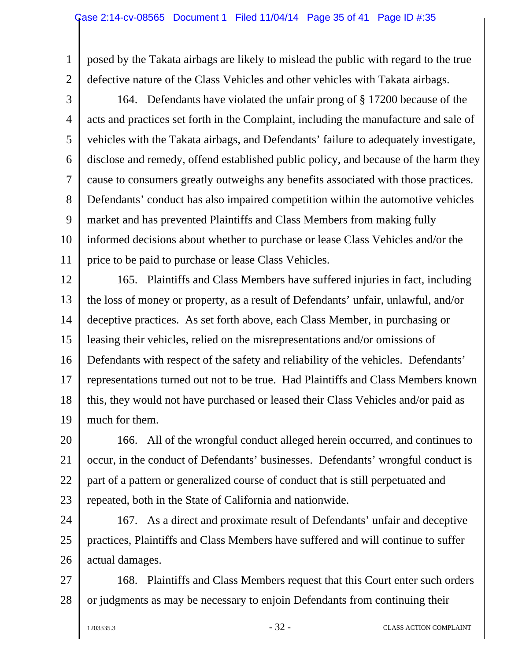1 2 posed by the Takata airbags are likely to mislead the public with regard to the true defective nature of the Class Vehicles and other vehicles with Takata airbags.

3

4 5 6 7 8 9 10 11 164. Defendants have violated the unfair prong of § 17200 because of the acts and practices set forth in the Complaint, including the manufacture and sale of vehicles with the Takata airbags, and Defendants' failure to adequately investigate, disclose and remedy, offend established public policy, and because of the harm they cause to consumers greatly outweighs any benefits associated with those practices. Defendants' conduct has also impaired competition within the automotive vehicles market and has prevented Plaintiffs and Class Members from making fully informed decisions about whether to purchase or lease Class Vehicles and/or the price to be paid to purchase or lease Class Vehicles.

12 13 14 15 16 17 18 19 165. Plaintiffs and Class Members have suffered injuries in fact, including the loss of money or property, as a result of Defendants' unfair, unlawful, and/or deceptive practices. As set forth above, each Class Member, in purchasing or leasing their vehicles, relied on the misrepresentations and/or omissions of Defendants with respect of the safety and reliability of the vehicles. Defendants' representations turned out not to be true. Had Plaintiffs and Class Members known this, they would not have purchased or leased their Class Vehicles and/or paid as much for them.

20 21 22 23 166. All of the wrongful conduct alleged herein occurred, and continues to occur, in the conduct of Defendants' businesses. Defendants' wrongful conduct is part of a pattern or generalized course of conduct that is still perpetuated and repeated, both in the State of California and nationwide.

24 25 26 167. As a direct and proximate result of Defendants' unfair and deceptive practices, Plaintiffs and Class Members have suffered and will continue to suffer actual damages.

27 28 168. Plaintiffs and Class Members request that this Court enter such orders or judgments as may be necessary to enjoin Defendants from continuing their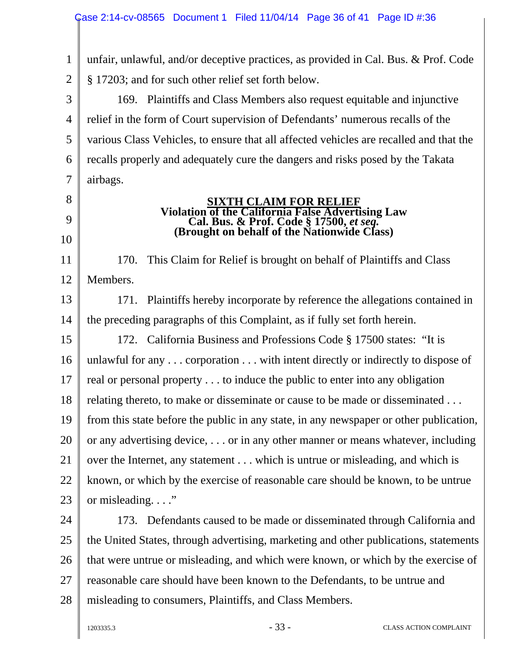1 2 unfair, unlawful, and/or deceptive practices, as provided in Cal. Bus. & Prof. Code § 17203; and for such other relief set forth below.

3

4 5 6 7 169. Plaintiffs and Class Members also request equitable and injunctive relief in the form of Court supervision of Defendants' numerous recalls of the various Class Vehicles, to ensure that all affected vehicles are recalled and that the recalls properly and adequately cure the dangers and risks posed by the Takata airbags.

8 9

10

11

12

### **SIXTH CLAIM FOR RELIEF**<br>Violation of the California False Advertising Law **Violation of the California False Advertising Law Cal. Bus. & Prof. Code § 17500,** *et seq.* **(Brought on behalf of the Nationwide Class)**

170. This Claim for Relief is brought on behalf of Plaintiffs and Class Members.

13 14 171. Plaintiffs hereby incorporate by reference the allegations contained in the preceding paragraphs of this Complaint, as if fully set forth herein.

15 16 17 18 19 20 21 22 23 172. California Business and Professions Code § 17500 states: "It is unlawful for any . . . corporation . . . with intent directly or indirectly to dispose of real or personal property . . . to induce the public to enter into any obligation relating thereto, to make or disseminate or cause to be made or disseminated . . . from this state before the public in any state, in any newspaper or other publication, or any advertising device, . . . or in any other manner or means whatever, including over the Internet, any statement . . . which is untrue or misleading, and which is known, or which by the exercise of reasonable care should be known, to be untrue or misleading.  $\ldots$ "

24 25 26 27 28 173. Defendants caused to be made or disseminated through California and the United States, through advertising, marketing and other publications, statements that were untrue or misleading, and which were known, or which by the exercise of reasonable care should have been known to the Defendants, to be untrue and misleading to consumers, Plaintiffs, and Class Members.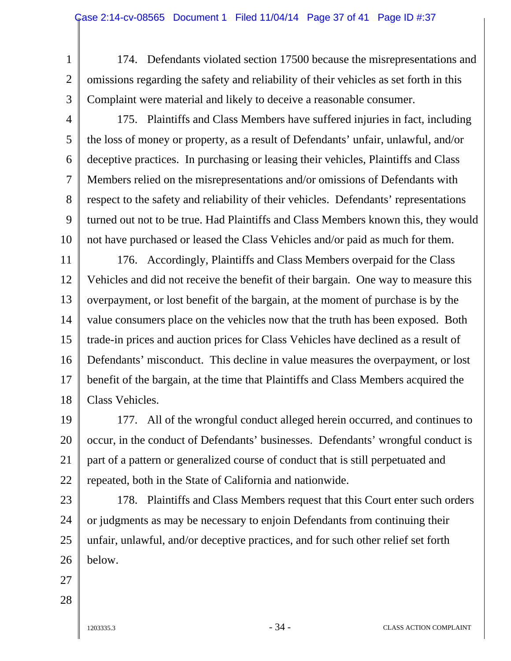- 1 2 3 174. Defendants violated section 17500 because the misrepresentations and omissions regarding the safety and reliability of their vehicles as set forth in this Complaint were material and likely to deceive a reasonable consumer.
- 4

5

6

7

8

9

10

175. Plaintiffs and Class Members have suffered injuries in fact, including the loss of money or property, as a result of Defendants' unfair, unlawful, and/or deceptive practices. In purchasing or leasing their vehicles, Plaintiffs and Class Members relied on the misrepresentations and/or omissions of Defendants with respect to the safety and reliability of their vehicles. Defendants' representations turned out not to be true. Had Plaintiffs and Class Members known this, they would not have purchased or leased the Class Vehicles and/or paid as much for them.

11 12 13 14 15 16 17 18 176. Accordingly, Plaintiffs and Class Members overpaid for the Class Vehicles and did not receive the benefit of their bargain. One way to measure this overpayment, or lost benefit of the bargain, at the moment of purchase is by the value consumers place on the vehicles now that the truth has been exposed. Both trade-in prices and auction prices for Class Vehicles have declined as a result of Defendants' misconduct. This decline in value measures the overpayment, or lost benefit of the bargain, at the time that Plaintiffs and Class Members acquired the Class Vehicles.

19 20 21 22 177. All of the wrongful conduct alleged herein occurred, and continues to occur, in the conduct of Defendants' businesses. Defendants' wrongful conduct is part of a pattern or generalized course of conduct that is still perpetuated and repeated, both in the State of California and nationwide.

23

24 25 26 178. Plaintiffs and Class Members request that this Court enter such orders or judgments as may be necessary to enjoin Defendants from continuing their unfair, unlawful, and/or deceptive practices, and for such other relief set forth below.

- 27
- 28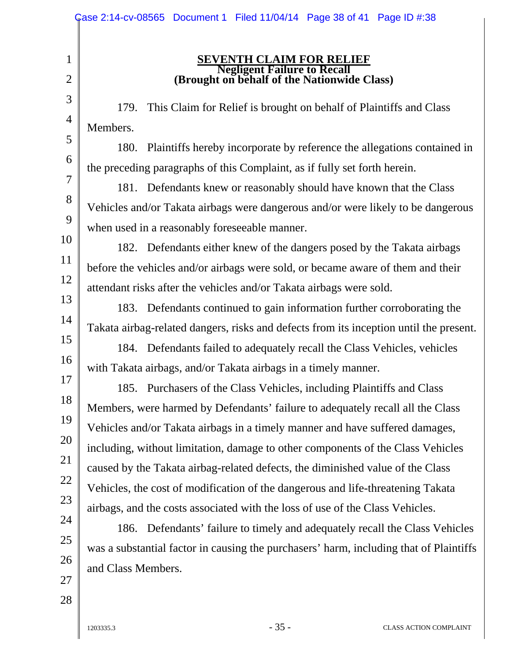| <b>SEVENTH CLAIM FOR RELIEF</b><br>$\mathbf{1}$                                                                                                                                                                                                                                                                                                                                                                                                                                                                                                                                                                                                                                                                                                                                                                                                                                                                                                                                                                                                                                                                                                                                                                                                                                                                                                                                                                                                                                                                                                                                                                                                                                                                                                                                                                                                                                                                                                                                          |
|------------------------------------------------------------------------------------------------------------------------------------------------------------------------------------------------------------------------------------------------------------------------------------------------------------------------------------------------------------------------------------------------------------------------------------------------------------------------------------------------------------------------------------------------------------------------------------------------------------------------------------------------------------------------------------------------------------------------------------------------------------------------------------------------------------------------------------------------------------------------------------------------------------------------------------------------------------------------------------------------------------------------------------------------------------------------------------------------------------------------------------------------------------------------------------------------------------------------------------------------------------------------------------------------------------------------------------------------------------------------------------------------------------------------------------------------------------------------------------------------------------------------------------------------------------------------------------------------------------------------------------------------------------------------------------------------------------------------------------------------------------------------------------------------------------------------------------------------------------------------------------------------------------------------------------------------------------------------------------------|
| <b>Example 18 Accord Failure to Recall</b><br>(Brought on behalf of the Nationwide Class)<br>$\overline{2}$                                                                                                                                                                                                                                                                                                                                                                                                                                                                                                                                                                                                                                                                                                                                                                                                                                                                                                                                                                                                                                                                                                                                                                                                                                                                                                                                                                                                                                                                                                                                                                                                                                                                                                                                                                                                                                                                              |
| 3<br>This Claim for Relief is brought on behalf of Plaintiffs and Class<br>179.<br>$\overline{4}$<br>Members.<br>5<br>180. Plaintiffs hereby incorporate by reference the allegations contained in<br>6<br>the preceding paragraphs of this Complaint, as if fully set forth herein.<br>$\overline{7}$<br>181. Defendants knew or reasonably should have known that the Class<br>8<br>Vehicles and/or Takata airbags were dangerous and/or were likely to be dangerous<br>9<br>when used in a reasonably foreseeable manner.<br>10<br>182. Defendants either knew of the dangers posed by the Takata airbags<br>11<br>before the vehicles and/or airbags were sold, or became aware of them and their<br>12<br>attendant risks after the vehicles and/or Takata airbags were sold.<br>13<br>183. Defendants continued to gain information further corroborating the<br>14<br>Takata airbag-related dangers, risks and defects from its inception until the present.<br>15<br>184. Defendants failed to adequately recall the Class Vehicles, vehicles<br>16<br>with Takata airbags, and/or Takata airbags in a timely manner.<br>17<br>185. Purchasers of the Class Vehicles, including Plaintiffs and Class<br>18<br>Members, were harmed by Defendants' failure to adequately recall all the Class<br>19<br>Vehicles and/or Takata airbags in a timely manner and have suffered damages,<br>20<br>including, without limitation, damage to other components of the Class Vehicles<br>21<br>caused by the Takata airbag-related defects, the diminished value of the Class<br>22<br>Vehicles, the cost of modification of the dangerous and life-threatening Takata<br>23<br>airbags, and the costs associated with the loss of use of the Class Vehicles.<br>24<br>186. Defendants' failure to timely and adequately recall the Class Vehicles<br>25<br>was a substantial factor in causing the purchasers' harm, including that of Plaintiffs<br>26<br>and Class Members.<br>27<br>28 |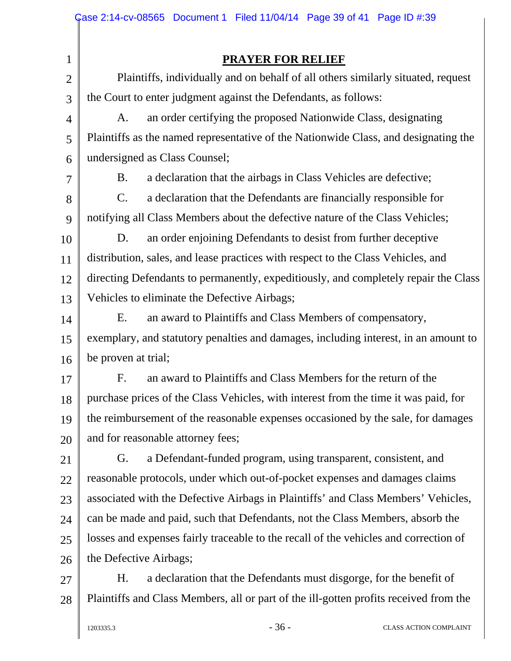|                | Case 2:14-cv-08565 Document 1 Filed 11/04/14 Page 39 of 41 Page ID #:39               |  |  |  |  |  |  |
|----------------|---------------------------------------------------------------------------------------|--|--|--|--|--|--|
|                |                                                                                       |  |  |  |  |  |  |
| $\mathbf 1$    | <b>PRAYER FOR RELIEF</b>                                                              |  |  |  |  |  |  |
| $\overline{2}$ | Plaintiffs, individually and on behalf of all others similarly situated, request      |  |  |  |  |  |  |
| 3              | the Court to enter judgment against the Defendants, as follows:                       |  |  |  |  |  |  |
| $\overline{4}$ | an order certifying the proposed Nationwide Class, designating<br>A.                  |  |  |  |  |  |  |
| 5              | Plaintiffs as the named representative of the Nationwide Class, and designating the   |  |  |  |  |  |  |
| 6              | undersigned as Class Counsel;                                                         |  |  |  |  |  |  |
| 7              | a declaration that the airbags in Class Vehicles are defective;<br>B.                 |  |  |  |  |  |  |
| 8              | $\mathcal{C}$ .<br>a declaration that the Defendants are financially responsible for  |  |  |  |  |  |  |
| 9              | notifying all Class Members about the defective nature of the Class Vehicles;         |  |  |  |  |  |  |
| 10             | D.<br>an order enjoining Defendants to desist from further deceptive                  |  |  |  |  |  |  |
| 11             | distribution, sales, and lease practices with respect to the Class Vehicles, and      |  |  |  |  |  |  |
| 12             | directing Defendants to permanently, expeditiously, and completely repair the Class   |  |  |  |  |  |  |
| 13             | Vehicles to eliminate the Defective Airbags;                                          |  |  |  |  |  |  |
| 14             | Ε.<br>an award to Plaintiffs and Class Members of compensatory,                       |  |  |  |  |  |  |
| 15             | exemplary, and statutory penalties and damages, including interest, in an amount to   |  |  |  |  |  |  |
| 16             | be proven at trial;                                                                   |  |  |  |  |  |  |
| 17             | an award to Plaintiffs and Class Members for the return of the<br>$F_{\cdot}$         |  |  |  |  |  |  |
| 18             | purchase prices of the Class Vehicles, with interest from the time it was paid, for   |  |  |  |  |  |  |
| 19             | the reimbursement of the reasonable expenses occasioned by the sale, for damages      |  |  |  |  |  |  |
| 20             | and for reasonable attorney fees;                                                     |  |  |  |  |  |  |
| 21             | a Defendant-funded program, using transparent, consistent, and<br>G.                  |  |  |  |  |  |  |
| 22             | reasonable protocols, under which out-of-pocket expenses and damages claims           |  |  |  |  |  |  |
| 23             | associated with the Defective Airbags in Plaintiffs' and Class Members' Vehicles,     |  |  |  |  |  |  |
| 24             | can be made and paid, such that Defendants, not the Class Members, absorb the         |  |  |  |  |  |  |
| 25             | losses and expenses fairly traceable to the recall of the vehicles and correction of  |  |  |  |  |  |  |
| 26             | the Defective Airbags;                                                                |  |  |  |  |  |  |
| 27             | a declaration that the Defendants must disgorge, for the benefit of<br>H.             |  |  |  |  |  |  |
| 28             | Plaintiffs and Class Members, all or part of the ill-gotten profits received from the |  |  |  |  |  |  |
|                |                                                                                       |  |  |  |  |  |  |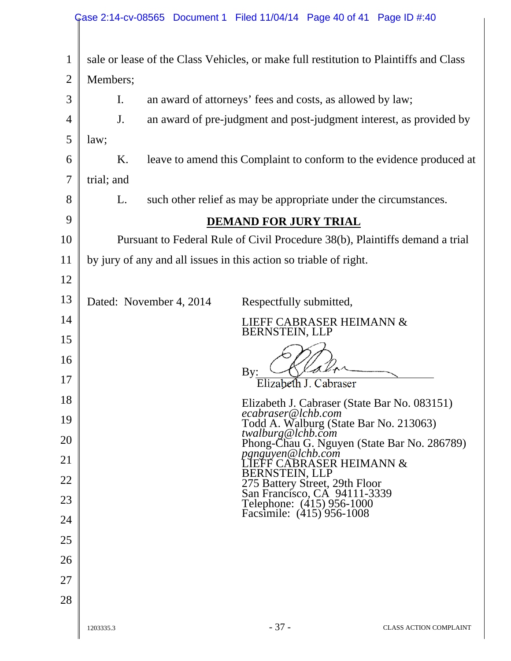|                     |                                                                                                                          | Case 2:14-cv-08565 Document 1 Filed 11/04/14 Page 40 of 41 Page ID #:40      |  |  |  |  |  |  |
|---------------------|--------------------------------------------------------------------------------------------------------------------------|------------------------------------------------------------------------------|--|--|--|--|--|--|
|                     |                                                                                                                          |                                                                              |  |  |  |  |  |  |
| $\mathbf{1}$        | sale or lease of the Class Vehicles, or make full restitution to Plaintiffs and Class                                    |                                                                              |  |  |  |  |  |  |
| $\overline{2}$      |                                                                                                                          | Members;                                                                     |  |  |  |  |  |  |
| 3                   |                                                                                                                          | an award of attorneys' fees and costs, as allowed by law;<br>I.              |  |  |  |  |  |  |
| $\overline{4}$<br>5 | an award of pre-judgment and post-judgment interest, as provided by<br>J.<br>law;                                        |                                                                              |  |  |  |  |  |  |
| 6                   | K.                                                                                                                       | leave to amend this Complaint to conform to the evidence produced at         |  |  |  |  |  |  |
| 7                   | trial; and                                                                                                               |                                                                              |  |  |  |  |  |  |
| 8                   | L.                                                                                                                       | such other relief as may be appropriate under the circumstances.             |  |  |  |  |  |  |
| 9                   | <b>DEMAND FOR JURY TRIAL</b>                                                                                             |                                                                              |  |  |  |  |  |  |
| 10                  |                                                                                                                          | Pursuant to Federal Rule of Civil Procedure 38(b), Plaintiffs demand a trial |  |  |  |  |  |  |
| 11                  | by jury of any and all issues in this action so triable of right.                                                        |                                                                              |  |  |  |  |  |  |
| 12                  |                                                                                                                          |                                                                              |  |  |  |  |  |  |
| 13                  | Dated: November 4, 2014<br>Respectfully submitted,                                                                       |                                                                              |  |  |  |  |  |  |
| 14                  | LIEFF CABRASER HEIMANN &<br>BERNSTEIN, LLP                                                                               |                                                                              |  |  |  |  |  |  |
| 15                  |                                                                                                                          |                                                                              |  |  |  |  |  |  |
| 16<br>17            | By:                                                                                                                      |                                                                              |  |  |  |  |  |  |
| 18                  |                                                                                                                          | Elizabeth J. Cabraser                                                        |  |  |  |  |  |  |
| 19                  | Elizabeth J. Cabraser (State Bar No. 083151)<br>ecabraser@lchb.com                                                       |                                                                              |  |  |  |  |  |  |
| 20                  | Todd A. Walburg (State Bar No. 213063)<br>twalburg@lchb.com<br>Phong-Chau G. Nguyen (State Bar No. 286789)               |                                                                              |  |  |  |  |  |  |
| 21                  | pgnguyen@lchb.com<br>LIEFF CABRASER HEIMANN &                                                                            |                                                                              |  |  |  |  |  |  |
| 22                  | BERNSTEIN, LLP                                                                                                           |                                                                              |  |  |  |  |  |  |
| 23                  | 275 Battery Street, 29th Floor<br>San Francisco, CA 94111-3339<br>Telephone: (415) 956-1000<br>Facsimile: (415) 956-1008 |                                                                              |  |  |  |  |  |  |
| 24                  |                                                                                                                          |                                                                              |  |  |  |  |  |  |
| 25                  |                                                                                                                          |                                                                              |  |  |  |  |  |  |
| 26                  |                                                                                                                          |                                                                              |  |  |  |  |  |  |
| 27                  |                                                                                                                          |                                                                              |  |  |  |  |  |  |
| 28                  |                                                                                                                          |                                                                              |  |  |  |  |  |  |
|                     | 1203335.3                                                                                                                | $-37-$<br><b>CLASS ACTION COMPLAINT</b>                                      |  |  |  |  |  |  |